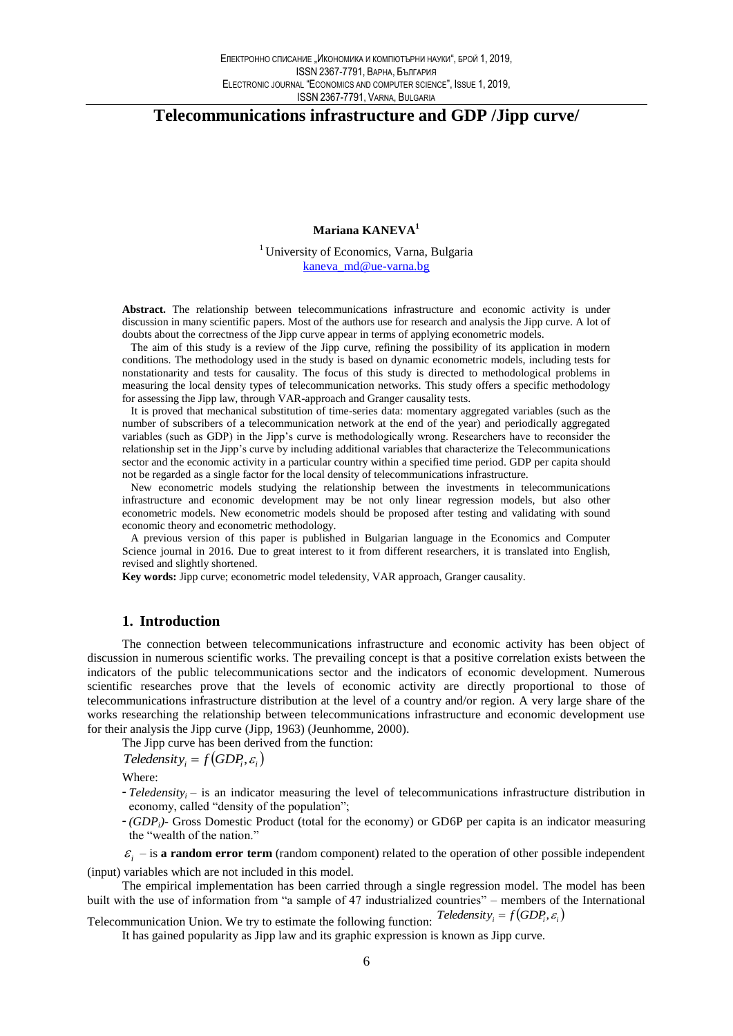# Telecommunications infrastructure and GDP /Jipp curve/

## Mariana KANEVA<sup>1</sup>

<sup>1</sup> University of Economics, Varna, Bulgaria kaneva md@ue-varna.bg

Abstract. The relationship between telecommunications infrastructure and economic activity is under discussion in many scientific papers. Most of the authors use for research and analysis the Jipp curve. A lot of doubts about the correctness of the Jipp curve appear in terms of applying econometric models.

The aim of this study is a review of the Jipp curve, refining the possibility of its application in modern conditions. The methodology used in the study is based on dynamic econometric models, including tests for nonstationarity and tests for causality. The focus of this study is directed to methodological problems in measuring the local density types of telecommunication networks. This study offers a specific methodology for assessing the Jipp law, through VAR-approach and Granger causality tests.

It is proved that mechanical substitution of time-series data: momentary aggregated variables (such as the number of subscribers of a telecommunication network at the end of the year) and periodically aggregated variables (such as GDP) in the Jipp's curve is methodologically wrong. Researchers have to reconsider the relationship set in the Jipp's curve by including additional variables that characterize the Telecommunications sector and the economic activity in a particular country within a specified time period. GDP per capita should not be regarded as a single factor for the local density of telecommunications infrastructure.

New econometric models studying the relationship between the investments in telecommunications infrastructure and economic development may be not only linear regression models, but also other econometric models. New econometric models should be proposed after testing and validating with sound economic theory and econometric methodology.

A previous version of this paper is published in Bulgarian language in the Economics and Computer Science journal in 2016. Due to great interest to it from different researchers, it is translated into English, revised and slightly shortened.

Key words: Jipp curve; econometric model teledensity, VAR approach, Granger causality.

### 1. Introduction

The connection between telecommunications infrastructure and economic activity has been object of discussion in numerous scientific works. The prevailing concept is that a positive correlation exists between the indicators of the public telecommunications sector and the indicators of economic development. Numerous scientific researches prove that the levels of economic activity are directly proportional to those of telecommunications infrastructure distribution at the level of a country and/or region. A very large share of the works researching the relationship between telecommunications infrastructure and economic development use for their analysis the Jipp curve (Jipp, 1963) (Jeunhomme, 2000).

The Jipp curve has been derived from the function:

 $Teledensity_i = f(GDP_i, \varepsilon_i)$ 

Where:

- Teledensity<sub>i</sub> is an indicator measuring the level of telecommunications infrastructure distribution in economy, called "density of the population";
- $-(GDP_i)$  Gross Domestic Product (total for the economy) or GD6P per capita is an indicator measuring the "wealth of the nation."

 $\varepsilon_i$  – is a random error term (random component) related to the operation of other possible independent (input) variables which are not included in this model.

The empirical implementation has been carried through a single regression model. The model has been built with the use of information from "a sample of 47 industrialized countries" – members of the International

Telecommunication Union. We try to estimate the following function: Teledensity<sub>i</sub> =  $f(GDP_i, \varepsilon_i)$ 

It has gained popularity as Jipp law and its graphic expression is known as Jipp curve.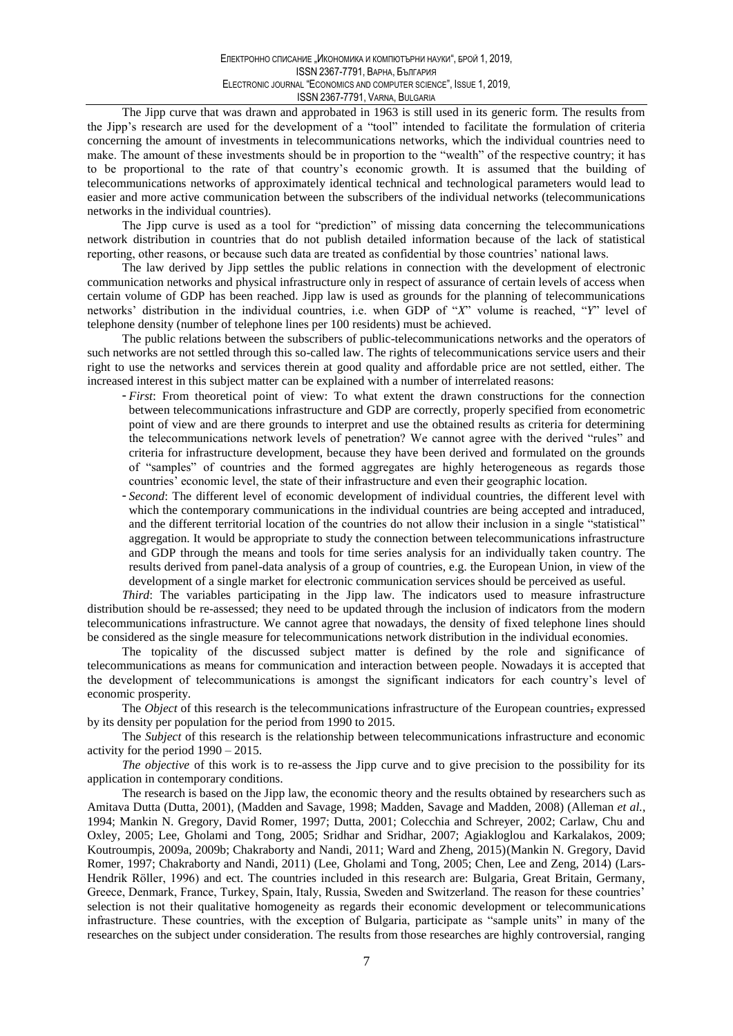The Jipp curve that was drawn and approbated in 1963 is still used in its generic form. The results from the Jipp's research are used for the development of a "tool" intended to facilitate the formulation of criteria concerning the amount of investments in telecommunications networks, which the individual countries need to make. The amount of these investments should be in proportion to the "wealth" of the respective country; it has to be proportional to the rate of that country's economic growth. It is assumed that the building of telecommunications networks of approximately identical technical and technological parameters would lead to easier and more active communication between the subscribers of the individual networks (telecommunications networks in the individual countries).

The Jipp curve is used as a tool for "prediction" of missing data concerning the telecommunications network distribution in countries that do not publish detailed information because of the lack of statistical reporting, other reasons, or because such data are treated as confidential by those countries' national laws.

The law derived by Jipp settles the public relations in connection with the development of electronic communication networks and physical infrastructure only in respect of assurance of certain levels of access when certain volume of GDP has been reached. Jipp law is used as grounds for the planning of telecommunications networks' distribution in the individual countries, i.e. when GDP of "X" volume is reached, "Y" level of telephone density (number of telephone lines per 100 residents) must be achieved.

The public relations between the subscribers of public-telecommunications networks and the operators of such networks are not settled through this so-called law. The rights of telecommunications service users and their right to use the networks and services therein at good quality and affordable price are not settled, either. The increased interest in this subject matter can be explained with a number of interrelated reasons:

- First: From theoretical point of view: To what extent the drawn constructions for the connection between telecommunications infrastructure and GDP are correctly, properly specified from econometric point of view and are there grounds to interpret and use the obtained results as criteria for determining the telecommunications network levels of penetration? We cannot agree with the derived "rules" and criteria for infrastructure development, because they have been derived and formulated on the grounds of "samples" of countries and the formed aggregates are highly heterogeneous as regards those countries' economic level, the state of their infrastructure and even their geographic location.
- Second: The different level of economic development of individual countries, the different level with which the contemporary communications in the individual countries are being accepted and intraduced, and the different territorial location of the countries do not allow their inclusion in a single "statistical" aggregation. It would be appropriate to study the connection between telecommunications infrastructure and GDP through the means and tools for time series analysis for an individually taken country. The results derived from panel-data analysis of a group of countries, e.g. the European Union, in view of the development of a single market for electronic communication services should be perceived as useful.

Third: The variables participating in the Jipp law. The indicators used to measure infrastructure distribution should be re-assessed; they need to be updated through the inclusion of indicators from the modern telecommunications infrastructure. We cannot agree that nowadays, the density of fixed telephone lines should be considered as the single measure for telecommunications network distribution in the individual economies.

The topicality of the discussed subject matter is defined by the role and significance of telecommunications as means for communication and interaction between people. Nowadays it is accepted that the development of telecommunications is amongst the significant indicators for each country's level of economic prosperity.

The *Object* of this research is the telecommunications infrastructure of the European countries, expressed by its density per population for the period from 1990 to 2015.

The *Subject* of this research is the relationship between telecommunications infrastructure and economic activity for the period  $1990 - 2015$ .

The objective of this work is to re-assess the Jipp curve and to give precision to the possibility for its application in contemporary conditions.

The research is based on the Jipp law, the economic theory and the results obtained by researchers such as Amitava Dutta (Dutta, 2001), (Madden and Savage, 1998; Madden, Savage and Madden, 2008) (Alleman et al., 1994; Mankin N. Gregory, David Romer, 1997; Dutta, 2001; Colecchia and Schreyer, 2002; Carlaw, Chu and Oxley, 2005; Lee, Gholami and Tong, 2005; Sridhar and Sridhar, 2007; Agiakloglou and Karkalakos, 2009; Koutroumpis, 2009a, 2009b; Chakraborty and Nandi, 2011; Ward and Zheng, 2015)(Mankin N. Gregory, David Romer, 1997; Chakraborty and Nandi, 2011) (Lee, Gholami and Tong, 2005; Chen, Lee and Zeng, 2014) (Lars-Hendrik Röller, 1996) and ect. The countries included in this research are: Bulgaria, Great Britain, Germany, Greece, Denmark, France, Turkey, Spain, Italy, Russia, Sweden and Switzerland. The reason for these countries' selection is not their qualitative homogeneity as regards their economic development or telecommunications infrastructure. These countries, with the exception of Bulgaria, participate as "sample units" in many of the researches on the subject under consideration. The results from those researches are highly controversial, ranging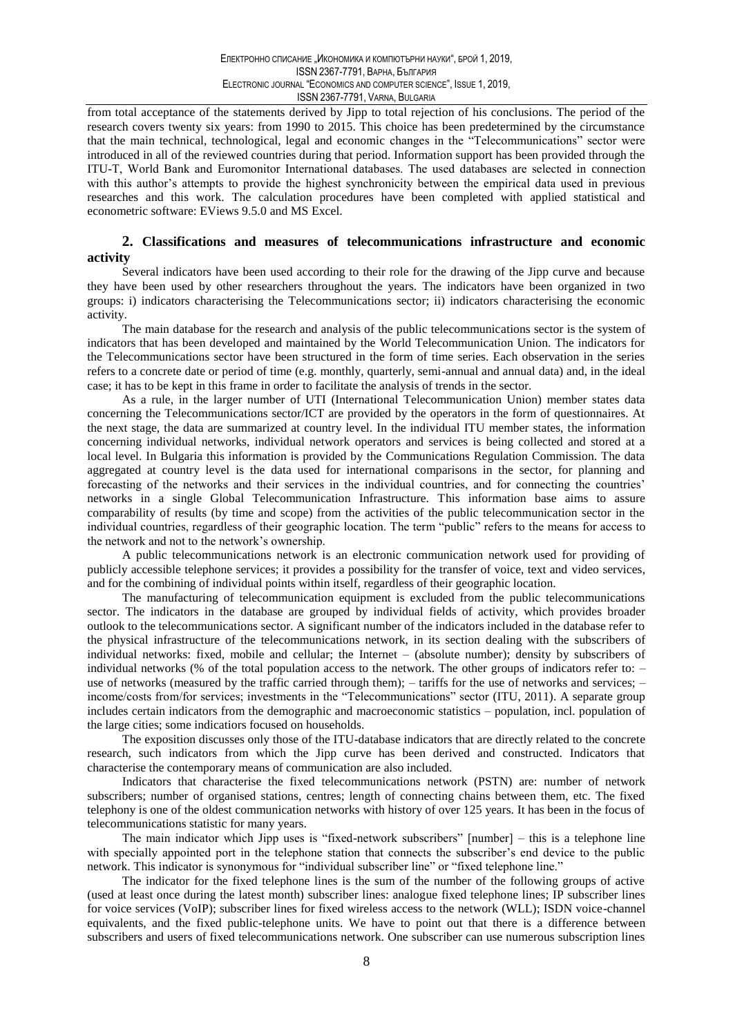from total acceptance of the statements derived by Jipp to total rejection of his conclusions. The period of the research covers twenty six years: from 1990 to 2015. This choice has been predetermined by the circumstance that the main technical, technological, legal and economic changes in the "Telecommunications" sector were introduced in all of the reviewed countries during that period. Information support has been provided through the ITU-T, World Bank and Euromonitor International databases. The used databases are selected in connection with this author's attempts to provide the highest synchronicity between the empirical data used in previous researches and this work. The calculation procedures have been completed with applied statistical and econometric software: EViews 9.5.0 and MS Excel.

### 2. Classifications and measures of telecommunications infrastructure and economic activity

Several indicators have been used according to their role for the drawing of the Jipp curve and because they have been used by other researchers throughout the years. The indicators have been organized in two groups: i) indicators characterising the Telecommunications sector; ii) indicators characterising the economic activity.

The main database for the research and analysis of the public telecommunications sector is the system of indicators that has been developed and maintained by the World Telecommunication Union. The indicators for the Telecommunications sector have been structured in the form of time series. Each observation in the series refers to a concrete date or period of time (e.g. monthly, quarterly, semi-annual and annual data) and, in the ideal case; it has to be kept in this frame in order to facilitate the analysis of trends in the sector.

As a rule, in the larger number of UTI (International Telecommunication Union) member states data concerning the Telecommunications sector/ICT are provided by the operators in the form of questionnaires. At the next stage, the data are summarized at country level. In the individual ITU member states, the information concerning individual networks, individual network operators and services is being collected and stored at a local level. In Bulgaria this information is provided by the Communications Regulation Commission. The data aggregated at country level is the data used for international comparisons in the sector, for planning and forecasting of the networks and their services in the individual countries, and for connecting the countries' networks in a single Global Telecommunication Infrastructure. This information base aims to assure comparability of results (by time and scope) from the activities of the public telecommunication sector in the individual countries, regardless of their geographic location. The term "public" refers to the means for access to the network and not to the network's ownership.

A public telecommunications network is an electronic communication network used for providing of publicly accessible telephone services; it provides a possibility for the transfer of voice, text and video services, and for the combining of individual points within itself, regardless of their geographic location.

The manufacturing of telecommunication equipment is excluded from the public telecommunications sector. The indicators in the database are grouped by individual fields of activity, which provides broader outlook to the telecommunications sector. A significant number of the indicators included in the database refer to the physical infrastructure of the telecommunications network, in its section dealing with the subscribers of individual networks: fixed, mobile and cellular; the Internet – (absolute number); density by subscribers of individual networks (% of the total population access to the network. The other groups of indicators refer to:  $$ use of networks (measured by the traffic carried through them); – tariffs for the use of networks and services; – income/costs from/for services; investments in the "Telecommunications" sector (ITU, 2011). A separate group includes certain indicators from the demographic and macroeconomic statistics – population, incl. population of the large cities; some indicatiors focused on households.

The exposition discusses only those of the ITU-database indicators that are directly related to the concrete research, such indicators from which the Jipp curve has been derived and constructed. Indicators that characterise the contemporary means of communication are also included.

Indicators that characterise the fixed telecommunications network (PSTN) are: number of network subscribers; number of organised stations, centres; length of connecting chains between them, etc. The fixed telephony is one of the oldest communication networks with history of over 125 years. It has been in the focus of telecommunications statistic for many years.

The main indicator which Jipp uses is "fixed-network subscribers" [number] – this is a telephone line with specially appointed port in the telephone station that connects the subscriber's end device to the public network. This indicator is synonymous for "individual subscriber line" or "fixed telephone line."

The indicator for the fixed telephone lines is the sum of the number of the following groups of active (used at least once during the latest month) subscriber lines: analogue fixed telephone lines; IP subscriber lines for voice services (VoIP); subscriber lines for fixed wireless access to the network (WLL); ISDN voice-channel equivalents, and the fixed public-telephone units. We have to point out that there is a difference between subscribers and users of fixed telecommunications network. One subscriber can use numerous subscription lines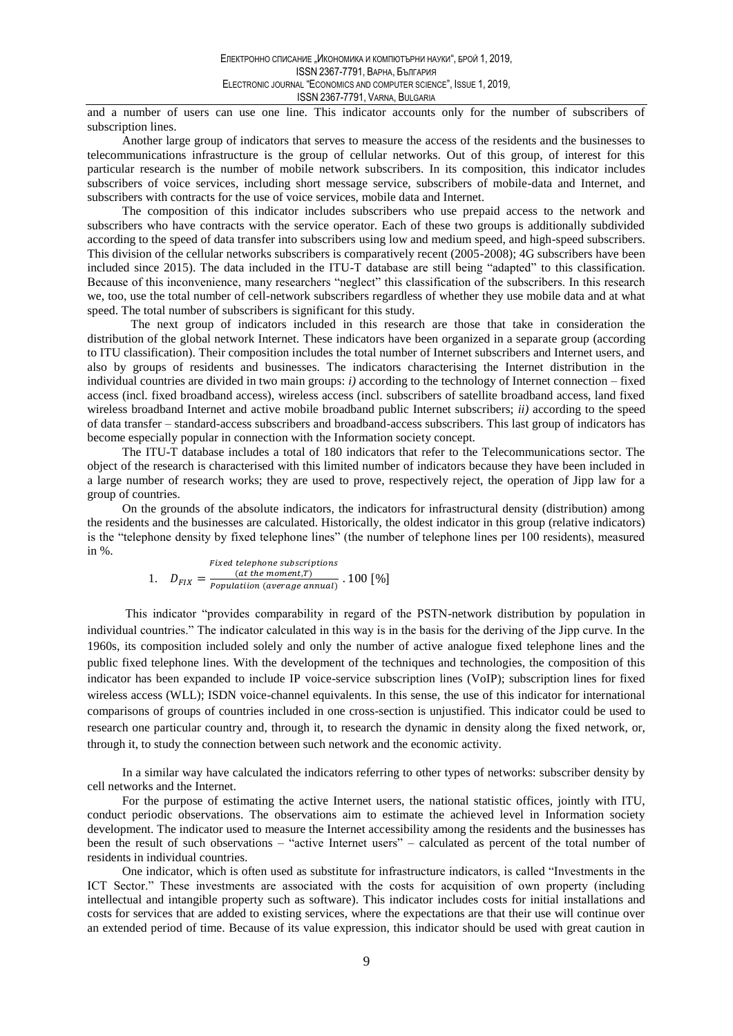and a number of users can use one line. This indicator accounts only for the number of subscribers of subscription lines.

Another large group of indicators that serves to measure the access of the residents and the businesses to telecommunications infrastructure is the group of cellular networks. Out of this group, of interest for this particular research is the number of mobile network subscribers. In its composition, this indicator includes subscribers of voice services, including short message service, subscribers of mobile-data and Internet, and subscribers with contracts for the use of voice services, mobile data and Internet.

The composition of this indicator includes subscribers who use prepaid access to the network and subscribers who have contracts with the service operator. Each of these two groups is additionally subdivided according to the speed of data transfer into subscribers using low and medium speed, and high-speed subscribers. This division of the cellular networks subscribers is comparatively recent (2005-2008); 4G subscribers have been included since 2015). The data included in the ITU-T database are still being "adapted" to this classification. Because of this inconvenience, many researchers "neglect" this classification of the subscribers. In this research we, too, use the total number of cell-network subscribers regardless of whether they use mobile data and at what speed. The total number of subscribers is significant for this study.

The next group of indicators included in this research are those that take in consideration the distribution of the global network Internet. These indicators have been organized in a separate group (according to ITU classification). Their composition includes the total number of Internet subscribers and Internet users, and also by groups of residents and businesses. The indicators characterising the Internet distribution in the individual countries are divided in two main groups:  $i$ ) according to the technology of Internet connection – fixed access (incl. fixed broadband access), wireless access (incl. subscribers of satellite broadband access, land fixed wireless broadband Internet and active mobile broadband public Internet subscribers;  $ii)$  according to the speed of data transfer - standard-access subscribers and broadband-access subscribers. This last group of indicators has become especially popular in connection with the Information society concept.

The ITU-T database includes a total of 180 indicators that refer to the Telecommunications sector. The object of the research is characterised with this limited number of indicators because they have been included in a large number of research works; they are used to prove, respectively reject, the operation of Jipp law for a group of countries.

On the grounds of the absolute indicators, the indicators for infrastructural density (distribution) among the residents and the businesses are calculated. Historically, the oldest indicator in this group (relative indicators) is the "telephone density by fixed telephone lines" (the number of telephone lines per 100 residents), measured in %.

$$
1. \quad D_{FIX} = \frac{Fixed \; telephone \; subscripts}{Population \; (average \; annual)} \cdot 100 \; [ \% ]
$$

This indicator "provides comparability in regard of the PSTN-network distribution by population in individual countries." The indicator calculated in this way is in the basis for the deriving of the Jipp curve. In the 1960s, its composition included solely and only the number of active analogue fixed telephone lines and the public fixed telephone lines. With the development of the techniques and technologies, the composition of this indicator has been expanded to include IP voice-service subscription lines (VoIP); subscription lines for fixed wireless access (WLL); ISDN voice-channel equivalents. In this sense, the use of this indicator for international comparisons of groups of countries included in one cross-section is unjustified. This indicator could be used to research one particular country and, through it, to research the dynamic in density along the fixed network, or, through it, to study the connection between such network and the economic activity.

In a similar way have calculated the indicators referring to other types of networks: subscriber density by cell networks and the Internet.

For the purpose of estimating the active Internet users, the national statistic offices, jointly with ITU, conduct periodic observations. The observations aim to estimate the achieved level in Information society development. The indicator used to measure the Internet accessibility among the residents and the businesses has been the result of such observations – "active Internet users" – calculated as percent of the total number of residents in individual countries.

One indicator, which is often used as substitute for infrastructure indicators, is called "Investments in the ICT Sector." These investments are associated with the costs for acquisition of own property (including intellectual and intangible property such as software). This indicator includes costs for initial installations and costs for services that are added to existing services, where the expectations are that their use will continue over an extended period of time. Because of its value expression, this indicator should be used with great caution in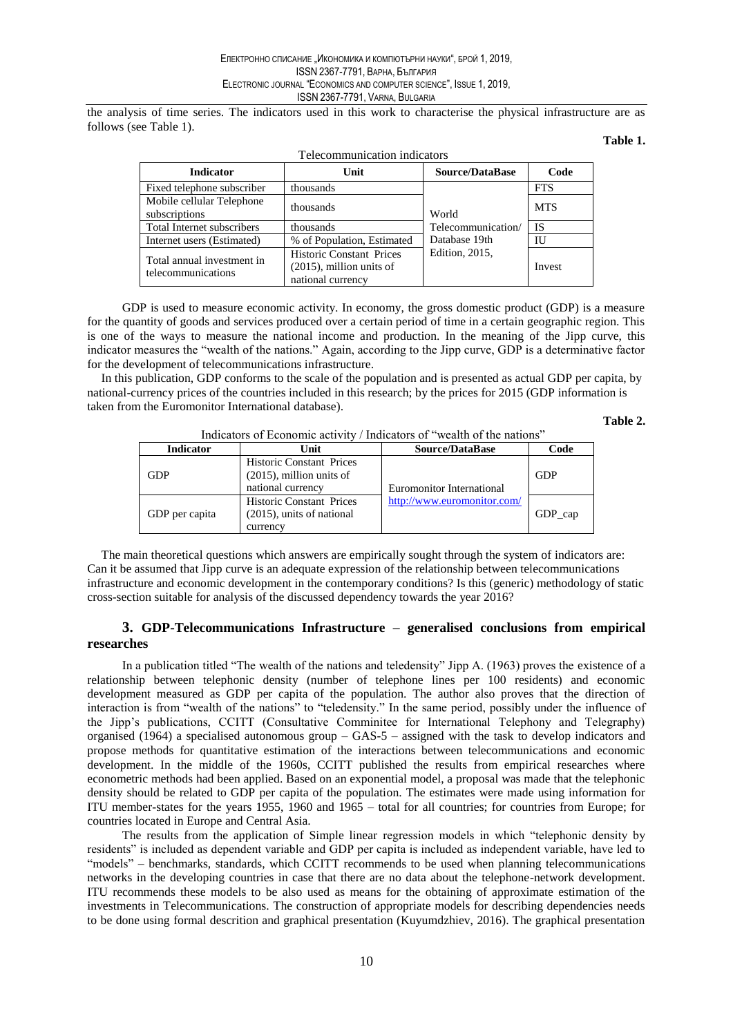the analysis of time series. The indicators used in this work to characterise the physical infrastructure are as follows (see Table 1).

### Table 1.

| Telecommunication indicators                     |                                                                              |                        |            |  |  |  |  |
|--------------------------------------------------|------------------------------------------------------------------------------|------------------------|------------|--|--|--|--|
| <b>Indicator</b>                                 | Unit                                                                         | <b>Source/DataBase</b> | Code       |  |  |  |  |
| Fixed telephone subscriber                       | thousands                                                                    |                        | <b>FTS</b> |  |  |  |  |
| Mobile cellular Telephone<br>subscriptions       | thousands                                                                    | World                  | <b>MTS</b> |  |  |  |  |
| Total Internet subscribers                       | thousands                                                                    | Telecommunication/     | <b>IS</b>  |  |  |  |  |
| Internet users (Estimated)                       | % of Population, Estimated                                                   | Database 19th          | IU         |  |  |  |  |
| Total annual investment in<br>telecommunications | Historic Constant Prices<br>$(2015)$ , million units of<br>national currency | <b>Edition</b> , 2015, | Invest     |  |  |  |  |

GDP is used to measure economic activity. In economy, the gross domestic product (GDP) is a measure for the quantity of goods and services produced over a certain period of time in a certain geographic region. This is one of the ways to measure the national income and production. In the meaning of the Jipp curve, this indicator measures the "wealth of the nations." Again, according to the Jipp curve, GDP is a determinative factor for the development of telecommunications infrastructure.

In this publication, GDP conforms to the scale of the population and is presented as actual GDP per capita, by national-currency prices of the countries included in this research; by the prices for 2015 (GDP information is taken from the Euromonitor International database).

Table 2.

| marculous of Economic activity / marculous of wealth of the nutions |                                                                                     |                             |             |  |  |  |  |
|---------------------------------------------------------------------|-------------------------------------------------------------------------------------|-----------------------------|-------------|--|--|--|--|
| <b>Indicator</b>                                                    | Unit                                                                                | <b>Source/DataBase</b>      | Code        |  |  |  |  |
| <b>GDP</b>                                                          | <b>Historic Constant Prices</b><br>$(2015)$ , million units of<br>national currency | Euromonitor International   | <b>GDP</b>  |  |  |  |  |
| GDP per capita                                                      | <b>Historic Constant Prices</b><br>$(2015)$ , units of national<br>currency         | http://www.euromonitor.com/ | $GDP_{cap}$ |  |  |  |  |

Indicators of Economic activity / Indicators of "wealth of the nations"

The main theoretical questions which answers are empirically sought through the system of indicators are: Can it be assumed that Jipp curve is an adequate expression of the relationship between telecommunications infrastructure and economic development in the contemporary conditions? Is this (generic) methodology of static cross-section suitable for analysis of the discussed dependency towards the year 2016?

## 3. GDP-Telecommunications Infrastructure - generalised conclusions from empirical researches

In a publication titled "The wealth of the nations and teledensity" Jipp A. (1963) proves the existence of a relationship between telephonic density (number of telephone lines per 100 residents) and economic development measured as GDP per capita of the population. The author also proves that the direction of interaction is from "wealth of the nations" to "teledensity." In the same period, possibly under the influence of the Jipp's publications, CCITT (Consultative Comminitee for International Telephony and Telegraphy) organised (1964) a specialised autonomous group  $-$  GAS-5  $-$  assigned with the task to develop indicators and propose methods for quantitative estimation of the interactions between telecommunications and economic development. In the middle of the 1960s, CCITT published the results from empirical researches where econometric methods had been applied. Based on an exponential model, a proposal was made that the telephonic density should be related to GDP per capita of the population. The estimates were made using information for ITU member-states for the years 1955, 1960 and  $1965 -$  total for all countries; for countries from Europe; for countries located in Europe and Central Asia.

The results from the application of Simple linear regression models in which "telephonic density by residents" is included as dependent variable and GDP per capita is included as independent variable, have led to "models" – benchmarks, standards, which CCITT recommends to be used when planning telecommunications networks in the developing countries in case that there are no data about the telephone-network development. ITU recommends these models to be also used as means for the obtaining of approximate estimation of the investments in Telecommunications. The construction of appropriate models for describing dependencies needs to be done using formal descrition and graphical presentation (Kuyumdzhiev, 2016). The graphical presentation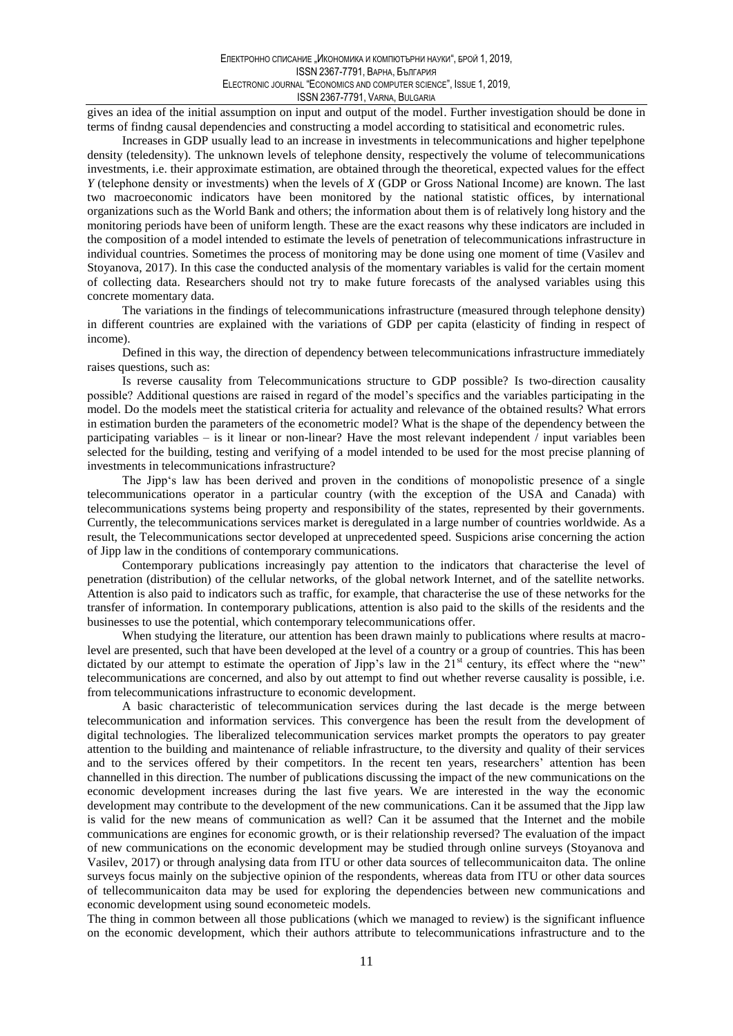gives an idea of the initial assumption on input and output of the model. Further investigation should be done in terms of findng causal dependencies and constructing a model according to statistical and econometric rules.

Increases in GDP usually lead to an increase in investments in telecommunications and higher tepelphone density (teledensity). The unknown levels of telephone density, respectively the volume of telecommunications investments, i.e. their approximate estimation, are obtained through the theoretical, expected values for the effect Y (telephone density or investments) when the levels of  $X$  (GDP or Gross National Income) are known. The last two macroeconomic indicators have been monitored by the national statistic offices, by international organizations such as the World Bank and others; the information about them is of relatively long history and the monitoring periods have been of uniform length. These are the exact reasons why these indicators are included in the composition of a model intended to estimate the levels of penetration of telecommunications infrastructure in individual countries. Sometimes the process of monitoring may be done using one moment of time (Vasilev and Stoyanova, 2017). In this case the conducted analysis of the momentary variables is valid for the certain moment of collecting data. Researchers should not try to make future forecasts of the analysed variables using this concrete momentary data.

The variations in the findings of telecommunications infrastructure (measured through telephone density) in different countries are explained with the variations of GDP per capita (elasticity of finding in respect of income).

Defined in this way, the direction of dependency between telecommunications infrastructure immediately raises questions, such as:

Is reverse causality from Telecommunications structure to GDP possible? Is two-direction causality possible? Additional questions are raised in regard of the model's specifics and the variables participating in the model. Do the models meet the statistical criteria for actuality and relevance of the obtained results? What errors in estimation burden the parameters of the econometric model? What is the shape of the dependency between the participating variables – is it linear or non-linear? Have the most relevant independent / input variables been selected for the building, testing and verifying of a model intended to be used for the most precise planning of investments in telecommunications infrastructure?

The Jipp's law has been derived and proven in the conditions of monopolistic presence of a single telecommunications operator in a particular country (with the exception of the USA and Canada) with telecommunications systems being property and responsibility of the states, represented by their governments. Currently, the telecommunications services market is deregulated in a large number of countries worldwide. As a result, the Telecommunications sector developed at unprecedented speed. Suspicions arise concerning the action of Jipp law in the conditions of contemporary communications.

Contemporary publications increasingly pay attention to the indicators that characterise the level of penetration (distribution) of the cellular networks, of the global network Internet, and of the satellite networks. Attention is also paid to indicators such as traffic, for example, that characterise the use of these networks for the transfer of information. In contemporary publications, attention is also paid to the skills of the residents and the businesses to use the potential, which contemporary telecommunications offer.

When studying the literature, our attention has been drawn mainly to publications where results at macrolevel are presented, such that have been developed at the level of a country or a group of countries. This has been dictated by our attempt to estimate the operation of Jipp's law in the 21<sup>st</sup> century, its effect where the "new" telecommunications are concerned, and also by out attempt to find out whether reverse causality is possible, i.e. from telecommunications infrastructure to economic development.

A basic characteristic of telecommunication services during the last decade is the merge between telecommunication and information services. This convergence has been the result from the development of digital technologies. The liberalized telecommunication services market prompts the operators to pay greater attention to the building and maintenance of reliable infrastructure, to the diversity and quality of their services and to the services offered by their competitors. In the recent ten years, researchers' attention has been channelled in this direction. The number of publications discussing the impact of the new communications on the economic development increases during the last five years. We are interested in the way the economic development may contribute to the development of the new communications. Can it be assumed that the Jipp law is valid for the new means of communication as well? Can it be assumed that the Internet and the mobile communications are engines for economic growth, or is their relationship reversed? The evaluation of the impact of new communications on the economic development may be studied through online surveys (Stoyanova and Vasilev, 2017) or through analysing data from ITU or other data sources of tellecommunicaiton data. The online surveys focus mainly on the subjective opinion of the respondents, whereas data from ITU or other data sources of tellecommunication data may be used for exploring the dependencies between new communications and economic development using sound econometeic models.

The thing in common between all those publications (which we managed to review) is the significant influence on the economic development, which their authors attribute to telecommunications infrastructure and to the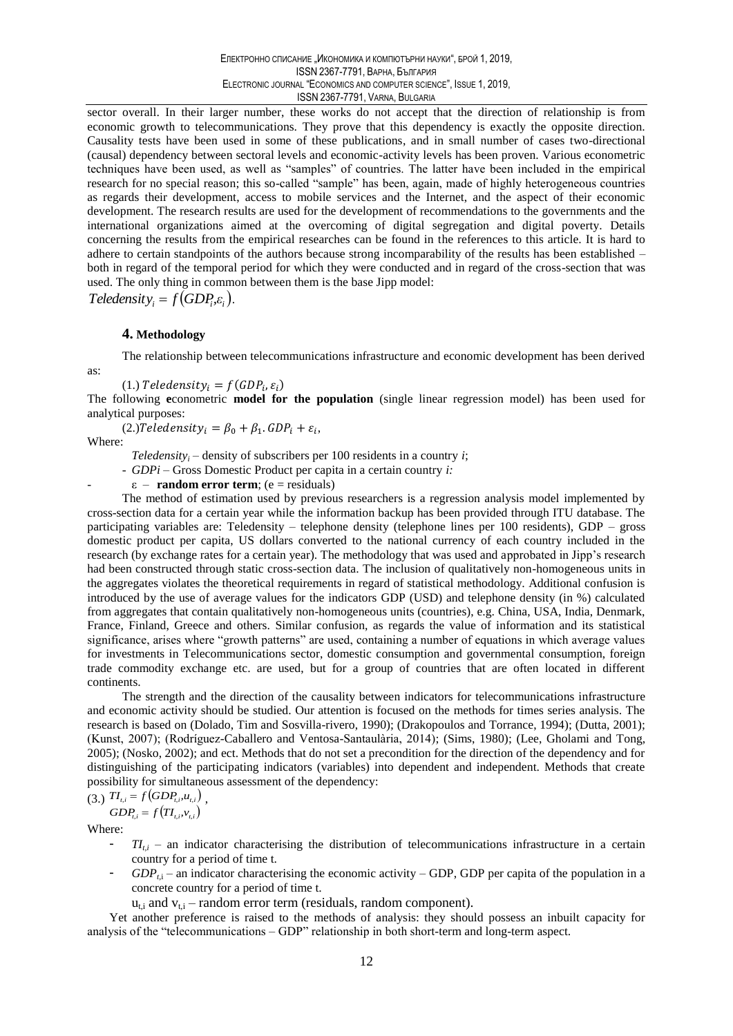sector overall. In their larger number, these works do not accept that the direction of relationship is from economic growth to telecommunications. They prove that this dependency is exactly the opposite direction. Causality tests have been used in some of these publications, and in small number of cases two-directional (causal) dependency between sectoral levels and economic-activity levels has been proven. Various econometric techniques have been used, as well as "samples" of countries. The latter have been included in the empirical research for no special reason; this so-called "sample" has been, again, made of highly heterogeneous countries as regards their development, access to mobile services and the Internet, and the aspect of their economic development. The research results are used for the development of recommendations to the governments and the international organizations aimed at the overcoming of digital segregation and digital poverty. Details concerning the results from the empirical researches can be found in the references to this article. It is hard to adhere to certain standpoints of the authors because strong incomparability of the results has been established both in regard of the temporal period for which they were conducted and in regard of the cross-section that was used. The only thing in common between them is the base Jipp model:

Teledensity, =  $f(GDP_i, \varepsilon_i)$ .

#### 4. Methodology

The relationship between telecommunications infrastructure and economic development has been derived

(1.) Teledensity<sub>i</sub> =  $f(GDP_i, \varepsilon_i)$ 

The following econometric **model for the population** (single linear regression model) has been used for analytical purposes:

(2.) Teledensity<sub>i</sub> =  $\beta_0 + \beta_1$ . GDP<sub>i</sub> +  $\varepsilon_i$ ,

Where:

as:

*Teledensity<sub>i</sub>* – density of subscribers per 100 residents in a country *i*;

-  $GDPi$  – Gross Domestic Product per capita in a certain country *i*:

 $\epsilon$  – **random error term**; (e = residuals)

The method of estimation used by previous researchers is a regression analysis model implemented by cross-section data for a certain year while the information backup has been provided through ITU database. The participating variables are: Teledensity – telephone density (telephone lines per 100 residents), GDP – gross domestic product per capita, US dollars converted to the national currency of each country included in the research (by exchange rates for a certain year). The methodology that was used and approbated in Jipp's research had been constructed through static cross-section data. The inclusion of qualitatively non-homogeneous units in the aggregates violates the theoretical requirements in regard of statistical methodology. Additional confusion is introduced by the use of average values for the indicators GDP (USD) and telephone density (in %) calculated from aggregates that contain qualitatively non-homogeneous units (countries), e.g. China, USA, India, Denmark, France, Finland, Greece and others. Similar confusion, as regards the value of information and its statistical significance, arises where "growth patterns" are used, containing a number of equations in which average values for investments in Telecommunications sector, domestic consumption and governmental consumption, foreign trade commodity exchange etc. are used, but for a group of countries that are often located in different continents.

The strength and the direction of the causality between indicators for telecommunications infrastructure and economic activity should be studied. Our attention is focused on the methods for times series analysis. The research is based on (Dolado, Tim and Sosvilla-rivero, 1990); (Drakopoulos and Torrance, 1994); (Dutta, 2001); (Kunst, 2007); (Rodríguez-Caballero and Ventosa-Santaulària, 2014); (Sims, 1980); (Lee, Gholami and Tong, 2005); (Nosko, 2002); and ect. Methods that do not set a precondition for the direction of the dependency and for distinguishing of the participating indicators (variables) into dependent and independent. Methods that create possibility for simultaneous assessment of the dependency:

$$
(3.) T I_{i,i} = f \big( GDP_{i,i}, u_{i,i} \big) ,
$$

 $GDP_{t,i} = f\big(TI_{t,i}, v_{t,i}\big)$ 

Where:

- $T_{l,i}$  an indicator characterising the distribution of telecommunications infrastructure in a certain country for a period of time t.
- $GDP_{i}$  an indicator characterising the economic activity GDP, GDP per capita of the population in a concrete country for a period of time t.
	- $u_{t,i}$  and  $v_{t,i}$  random error term (residuals, random component).

Yet another preference is raised to the methods of analysis: they should possess an inbuilt capacity for analysis of the "telecommunications - GDP" relationship in both short-term and long-term aspect.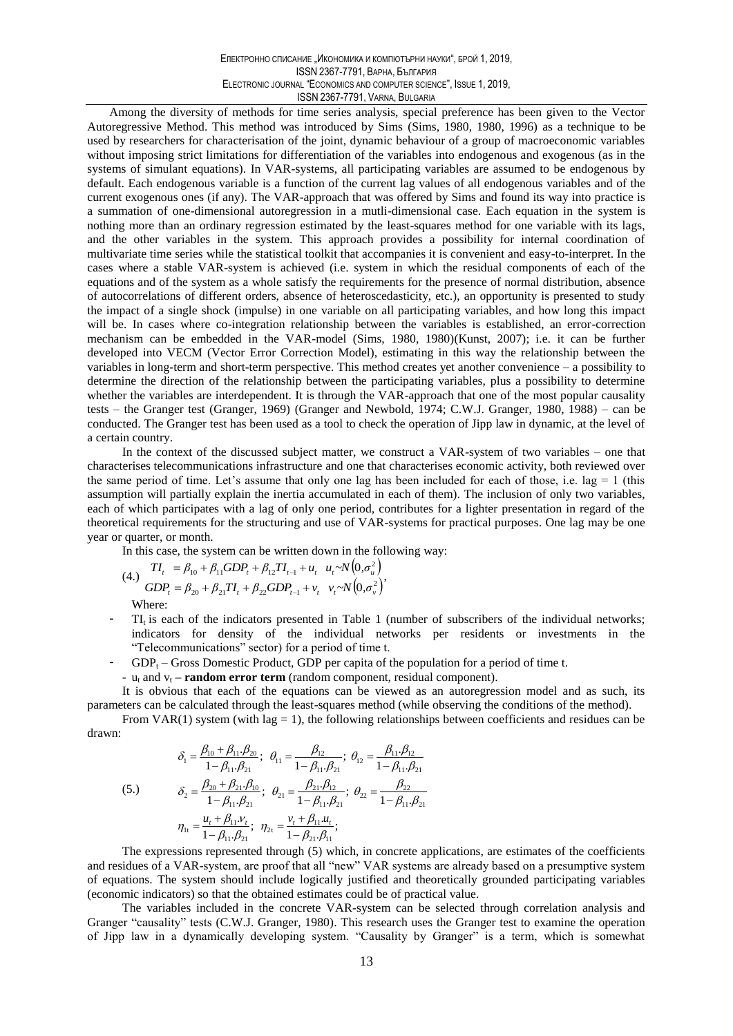Among the diversity of methods for time series analysis, special preference has been given to the Vector Autoregressive Method. This method was introduced by Sims (Sims, 1980, 1980, 1996) as a technique to be used by researchers for characterisation of the joint, dynamic behaviour of a group of macroeconomic variables without imposing strict limitations for differentiation of the variables into endogenous and exogenous (as in the systems of simulant equations). In VAR-systems, all participating variables are assumed to be endogenous by default. Each endogenous variable is a function of the current lag values of all endogenous variables and of the current exogenous ones (if any). The VAR-approach that was offered by Sims and found its way into practice is a summation of one-dimensional autoregression in a mutli-dimensional case. Each equation in the system is nothing more than an ordinary regression estimated by the least-squares method for one variable with its lags, and the other variables in the system. This approach provides a possibility for internal coordination of multivariate time series while the statistical toolkit that accompanies it is convenient and easy-to-interpret. In the cases where a stable VAR-system is achieved (i.e. system in which the residual components of each of the equations and of the system as a whole satisfy the requirements for the presence of normal distribution, absence of autocorrelations of different orders, absence of heteroscedasticity, etc.), an opportunity is presented to study the impact of a single shock (impulse) in one variable on all participating variables, and how long this impact will be. In cases where co-integration relationship between the variables is established, an error-correction mechanism can be embedded in the VAR-model (Sims, 1980, 1980)(Kunst, 2007); i.e. it can be further developed into VECM (Vector Error Correction Model), estimating in this way the relationship between the variables in long-term and short-term perspective. This method creates yet another convenience – a possibility to determine the direction of the relationship between the participating variables, plus a possibility to determine whether the variables are interdependent. It is through the VAR-approach that one of the most popular causality tests – the Granger test (Granger, 1969) (Granger and Newbold, 1974; C.W.J. Granger, 1980, 1988) – can be conducted. The Granger test has been used as a tool to check the operation of Jipp law in dynamic, at the level of a certain country.

In the context of the discussed subject matter, we construct a VAR-system of two variables – one that characterises telecommunications infrastructure and one that characterises economic activity, both reviewed over the same period of time. Let's assume that only one lag has been included for each of those, i.e.  $\log = 1$  (this assumption will partially explain the inertia accumulated in each of them). The inclusion of only two variables, each of which participates with a lag of only one period, contributes for a lighter presentation in regard of the theoretical requirements for the structuring and use of VAR-systems for practical purposes. One lag may be one year or quarter, or month.

In this case, the system can be written down in the following way:

(4.) 
$$
TI_{t} = \beta_{10} + \beta_{11} GDP_{t} + \beta_{12} TI_{t-1} + u_{t} \quad u_{t} \sim N(0, \sigma_{u}^{2})
$$

$$
GDP_{t} = \beta_{20} + \beta_{21} TI_{t} + \beta_{22} GDP_{t-1} + v_{t} \quad v_{t} \sim N(0, \sigma_{v}^{2})
$$
Where:

- $TI_t$  is each of the indicators presented in Table 1 (number of subscribers of the individual networks; indicators for density of the individual networks per residents or investments in the "Telecommunications" sector) for a period of time t.
- GDP<sub>t</sub> Gross Domestic Product, GDP per capita of the population for a period of time t.
	- $u_t$  and  $v_t$  **random error term** (random component, residual component).

It is obvious that each of the equations can be viewed as an autoregression model and as such, its parameters can be calculated through the least-squares method (while observing the conditions of the method).

From VAR(1) system (with  $\log = 1$ ), the following relationships between coefficients and residues can be  $drawn$ 

(5.)  
\n
$$
\delta_1 = \frac{\beta_{10} + \beta_{11} \cdot \beta_{20}}{1 - \beta_{11} \cdot \beta_{21}}; \ \theta_{11} = \frac{\beta_{12}}{1 - \beta_{11} \cdot \beta_{21}}; \ \theta_{12} = \frac{\beta_{11} \cdot \beta_{12}}{1 - \beta_{11} \cdot \beta_{21}}
$$
\n
$$
\delta_2 = \frac{\beta_{20} + \beta_{21} \cdot \beta_{10}}{1 - \beta_{11} \cdot \beta_{21}}; \ \theta_{21} = \frac{\beta_{21} \cdot \beta_{12}}{1 - \beta_{11} \cdot \beta_{21}}; \ \theta_{22} = \frac{\beta_{22}}{1 - \beta_{11} \cdot \beta_{21}}
$$
\n
$$
\eta_{1t} = \frac{u_t + \beta_{11} v_t}{1 - \beta_{11} \cdot \beta_{21}}; \ \eta_{2t} = \frac{v_t + \beta_{11} u_t}{1 - \beta_{21} \cdot \beta_{11}};
$$

The expressions represented through (5) which, in concrete applications, are estimates of the coefficients and residues of a VAR-system, are proof that all "new" VAR systems are already based on a presumptive system of equations. The system should include logically justified and theoretically grounded participating variables (economic indicators) so that the obtained estimates could be of practical value.

The variables included in the concrete VAR-system can be selected through correlation analysis and Granger "causality" tests (C.W.J. Granger, 1980). This research uses the Granger test to examine the operation of Jipp law in a dynamically developing system. "Causality by Granger" is a term, which is somewhat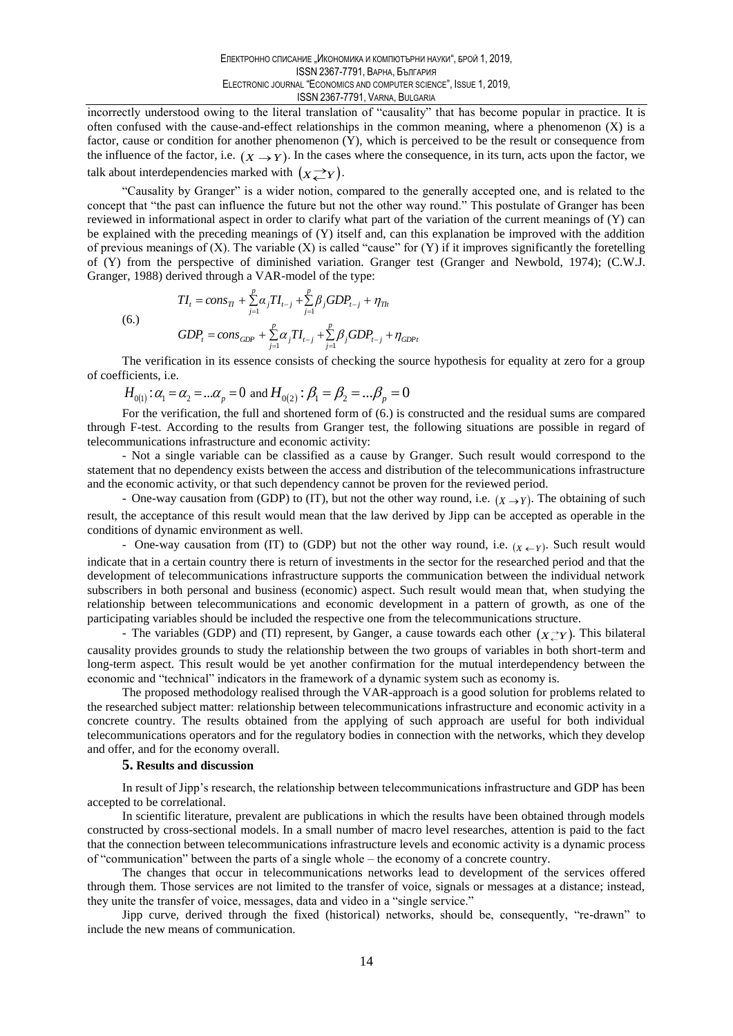incorrectly understood owing to the literal translation of "causality" that has become popular in practice. It is often confused with the cause-and-effect relationships in the common meaning, where a phenomenon (X) is a factor, cause or condition for another phenomenon  $(Y)$ , which is perceived to be the result or consequence from the influence of the factor, i.e.  $(X \rightarrow Y)$ . In the cases where the consequence, in its turn, acts upon the factor, we talk about interdependencies marked with  $(x \rightarrow Y)$ .

"Causality by Granger" is a wider notion, compared to the generally accepted one, and is related to the concept that "the past can influence the future but not the other way round." This postulate of Granger has been reviewed in informational aspect in order to clarify what part of the variation of the current meanings of (Y) can be explained with the preceding meanings of  $(Y)$  itself and, can this explanation be improved with the addition of previous meanings of  $(X)$ . The variable  $(X)$  is called "cause" for  $(Y)$  if it improves significantly the foretelling of (Y) from the perspective of diminished variation. Granger test (Granger and Newbold, 1974); (C.W.J. Granger, 1988) derived through a VAR-model of the type:

 $(6.)$ 

$$
GDP_t = cons_{GDP} + \sum_{j=1}^p \alpha_j TI_{t-j} + \sum_{j=1}^p \beta_j GDP_{t-j} + \eta_{GDP_t}
$$

 $TI_{t} = cons_{Tl} + \sum_{j=1}^{p} \alpha_{j}TI_{t-j} + \sum_{j=1}^{p} \beta_{j}GDP_{t-j} + \eta_{Tlt}$ 

The verification in its essence consists of checking the source hypothesis for equality at zero for a group of coefficients, *i.e.* 

 $H_{0(1)}$ :  $\alpha_1 = \alpha_2 = ... \alpha_p = 0$  and  $H_{0(2)}$ :  $\beta_1 = \beta_2 = ... \beta_p = 0$ 

For the verification, the full and shortened form of (6.) is constructed and the residual sums are compared through F-test. According to the results from Granger test, the following situations are possible in regard of telecommunications infrastructure and economic activity:

- Not a single variable can be classified as a cause by Granger. Such result would correspond to the statement that no dependency exists between the access and distribution of the telecommunications infrastructure and the economic activity, or that such dependency cannot be proven for the reviewed period.

- One-way causation from (GDP) to (IT), but not the other way round, i.e.  $(\chi \rightarrow \gamma)$ . The obtaining of such result, the acceptance of this result would mean that the law derived by Jipp can be accepted as operable in the conditions of dynamic environment as well.

- One-way causation from (IT) to (GDP) but not the other way round, i.e.  $(x \leftarrow r)$ . Such result would indicate that in a certain country there is return of investments in the sector for the researched period and that the development of telecommunications infrastructure supports the communication between the individual network subscribers in both personal and business (economic) aspect. Such result would mean that, when studying the relationship between telecommunications and economic development in a pattern of growth, as one of the participating variables should be included the respective one from the telecommunications structure.

- The variables (GDP) and (TI) represent, by Ganger, a cause towards each other  $(\chi \rightarrow \chi)$ . This bilateral causality provides grounds to study the relationship between the two groups of variables in both short-term and long-term aspect. This result would be yet another confirmation for the mutual interdependency between the economic and "technical" indicators in the framework of a dynamic system such as economy is.

The proposed methodology realised through the VAR-approach is a good solution for problems related to the researched subject matter: relationship between telecommunications infrastructure and economic activity in a concrete country. The results obtained from the applying of such approach are useful for both individual telecommunications operators and for the regulatory bodies in connection with the networks, which they develop and offer, and for the economy overall.

#### **5.** Results and discussion

In result of Jipp's research, the relationship between telecommunications infrastructure and GDP has been accepted to be correlational.

In scientific literature, prevalent are publications in which the results have been obtained through models constructed by cross-sectional models. In a small number of macro level researches, attention is paid to the fact that the connection between telecommunications infrastructure levels and economic activity is a dynamic process of "communication" between the parts of a single whole – the economy of a concrete country.

The changes that occur in telecommunications networks lead to development of the services offered through them. Those services are not limited to the transfer of voice, signals or messages at a distance; instead, they unite the transfer of voice, messages, data and video in a "single service."

Jipp curve, derived through the fixed (historical) networks, should be, consequently, "re-drawn" to include the new means of communication.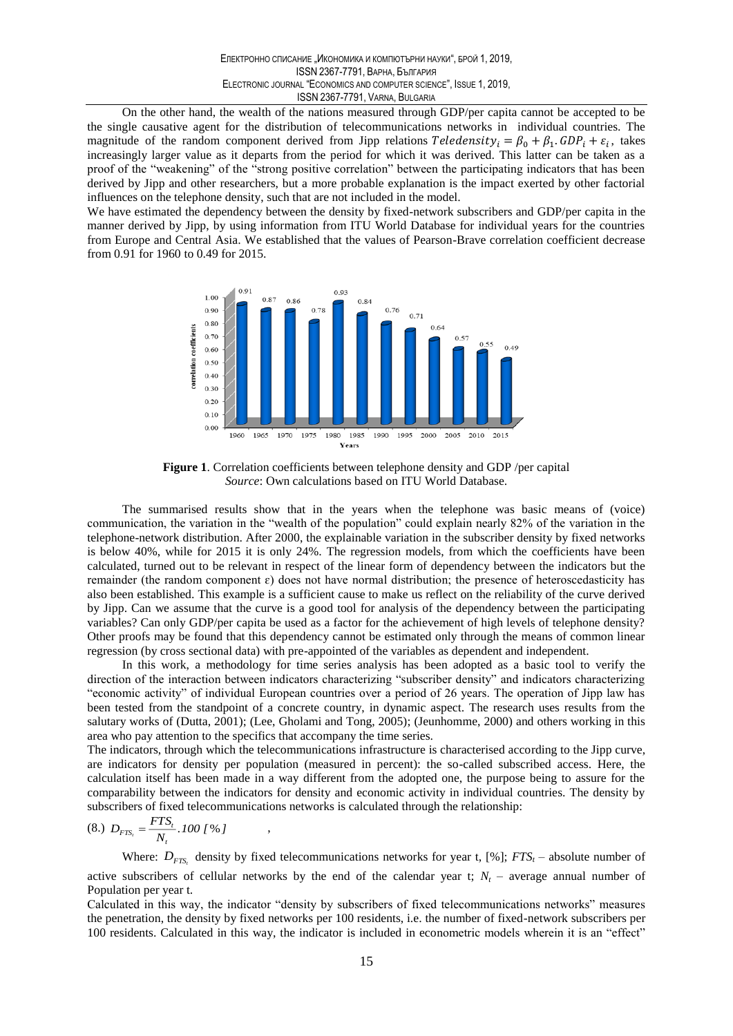On the other hand, the wealth of the nations measured through GDP/per capita cannot be accepted to be the single causative agent for the distribution of telecommunications networks in individual countries. The magnitude of the random component derived from Jipp relations Teledensity<sub>i</sub> =  $\beta_0 + \beta_1$ . GDP<sub>i</sub> +  $\varepsilon_i$ , takes increasingly larger value as it departs from the period for which it was derived. This latter can be taken as a proof of the "weakening" of the "strong positive correlation" between the participating indicators that has been derived by Jipp and other researchers, but a more probable explanation is the impact exerted by other factorial influences on the telephone density, such that are not included in the model.

We have estimated the dependency between the density by fixed-network subscribers and GDP/per capita in the manner derived by Jipp, by using information from ITU World Database for individual years for the countries from Europe and Central Asia. We established that the values of Pearson-Brave correlation coefficient decrease from 0.91 for 1960 to 0.49 for 2015.



Figure 1. Correlation coefficients between telephone density and GDP /per capital Source: Own calculations based on ITU World Database.

The summarised results show that in the years when the telephone was basic means of (voice) communication, the variation in the "wealth of the population" could explain nearly 82% of the variation in the telephone-network distribution. After 2000, the explainable variation in the subscriber density by fixed networks is below 40%, while for 2015 it is only 24%. The regression models, from which the coefficients have been calculated, turned out to be relevant in respect of the linear form of dependency between the indicators but the remainder (the random component  $\varepsilon$ ) does not have normal distribution; the presence of heteroscedasticity has also been established. This example is a sufficient cause to make us reflect on the reliability of the curve derived by Jipp. Can we assume that the curve is a good tool for analysis of the dependency between the participating variables? Can only GDP/per capita be used as a factor for the achievement of high levels of telephone density? Other proofs may be found that this dependency cannot be estimated only through the means of common linear regression (by cross sectional data) with pre-appointed of the variables as dependent and independent.

In this work, a methodology for time series analysis has been adopted as a basic tool to verify the direction of the interaction between indicators characterizing "subscriber density" and indicators characterizing "economic activity" of individual European countries over a period of 26 years. The operation of Jipp law has been tested from the standpoint of a concrete country, in dynamic aspect. The research uses results from the salutary works of (Dutta, 2001); (Lee, Gholami and Tong, 2005); (Jeunhomme, 2000) and others working in this area who pay attention to the specifics that accompany the time series.

The indicators, through which the telecommunications infrastructure is characterised according to the Jipp curve, are indicators for density per population (measured in percent): the so-called subscribed access. Here, the calculation itself has been made in a way different from the adopted one, the purpose being to assure for the comparability between the indicators for density and economic activity in individual countries. The density by subscribers of fixed telecommunications networks is calculated through the relationship:

$$
(8.)\ \ D_{FTS_t} = \frac{FTS_t}{N_t} .100\; [ \; \%\; ]
$$

Where:  $D_{FTS}$  density by fixed telecommunications networks for year t, [%]; FTS<sub>t</sub> – absolute number of active subscribers of cellular networks by the end of the calendar year t;  $N_t$  – average annual number of Population per year t.

Calculated in this way, the indicator "density by subscribers of fixed telecommunications networks" measures the penetration, the density by fixed networks per 100 residents, i.e. the number of fixed-network subscribers per 100 residents. Calculated in this way, the indicator is included in econometric models wherein it is an "effect"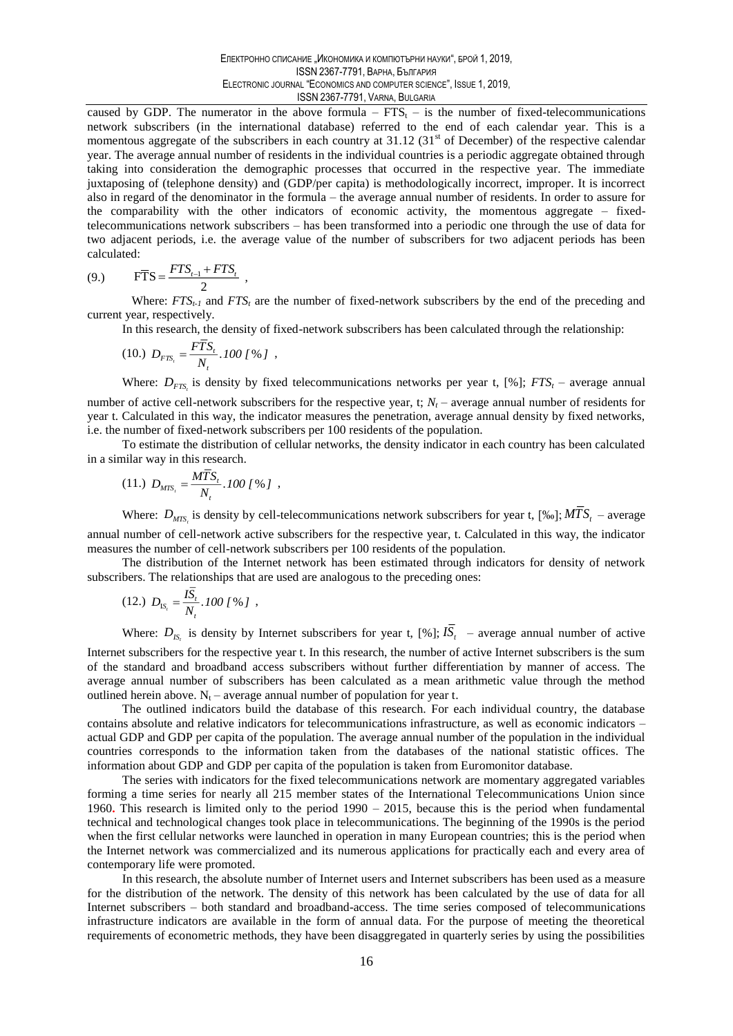caused by GDP. The numerator in the above formula –  $FTS_t$  – is the number of fixed-telecommunications network subscribers (in the international database) referred to the end of each calendar year. This is a momentous aggregate of the subscribers in each country at 31.12 (31<sup>st</sup> of December) of the respective calendar year. The average annual number of residents in the individual countries is a periodic aggregate obtained through taking into consideration the demographic processes that occurred in the respective year. The immediate juxtaposing of (telephone density) and (GDP/per capita) is methodologically incorrect, improper. It is incorrect also in regard of the denominator in the formula – the average annual number of residents. In order to assure for the comparability with the other indicators of economic activity, the momentous aggregate – fixedtelecommunications network subscribers – has been transformed into a periodic one through the use of data for two adjacent periods, i.e. the average value of the number of subscribers for two adjacent periods has been calculated:

$$
(9.) \qquad \qquad F\overline{T}S = \frac{FTS_{t-1} + FTS_t}{2}
$$

Where:  $FTS_{t-1}$  and  $FTS_t$  are the number of fixed-network subscribers by the end of the preceding and current year, respectively.

In this research, the density of fixed-network subscribers has been calculated through the relationship:

$$
(10.)\ \ D_{FTS_t} = \frac{FTS_t}{N} .100 [96] ,
$$

Where:  $D_{FTS}$  is density by fixed telecommunications networks per year t, [%]; FTS<sub>t</sub> – average annual number of active cell-network subscribers for the respective year, t;  $N_t$  – average annual number of residents for year t. Calculated in this way, the indicator measures the penetration, average annual density by fixed networks, i.e. the number of fixed-network subscribers per 100 residents of the population.

To estimate the distribution of cellular networks, the density indicator in each country has been calculated in a similar way in this research.

$$
(11.)\ \ D_{\text{MTS}_t} = \frac{\text{MTS}_t}{N_t} .100 [96] ,
$$

Where:  $D_{MTS}$  is density by cell-telecommunications network subscribers for year t, [%o];  $M\overline{T}S_t$  – average annual number of cell-network active subscribers for the respective year, t. Calculated in this way, the indicator measures the number of cell-network subscribers per 100 residents of the population.

The distribution of the Internet network has been estimated through indicators for density of network subscribers. The relationships that are used are analogous to the preceding ones:

$$
(12.)\ \ D_{\text{IS}_t} = \frac{I\overline{S}_t}{N_t} .100\; [ \%\; ]\;,
$$

Where:  $D_{IS}$  is density by Internet subscribers for year t, [%];  $I\overline{S}_t$  – average annual number of active

Internet subscribers for the respective year t. In this research, the number of active Internet subscribers is the sum of the standard and broadband access subscribers without further differentiation by manner of access. The average annual number of subscribers has been calculated as a mean arithmetic value through the method outlined herein above.  $N_t$  – average annual number of population for year t.

The outlined indicators build the database of this research. For each individual country, the database contains absolute and relative indicators for telecommunications infrastructure, as well as economic indicators actual GDP and GDP per capita of the population. The average annual number of the population in the individual countries corresponds to the information taken from the databases of the national statistic offices. The information about GDP and GDP per capita of the population is taken from Euromonitor database.

The series with indicators for the fixed telecommunications network are momentary aggregated variables forming a time series for nearly all 215 member states of the International Telecommunications Union since 1960. This research is limited only to the period  $1990 - 2015$ , because this is the period when fundamental technical and technological changes took place in telecommunications. The beginning of the 1990s is the period when the first cellular networks were launched in operation in many European countries; this is the period when the Internet network was commercialized and its numerous applications for practically each and every area of contemporary life were promoted.

In this research, the absolute number of Internet users and Internet subscribers has been used as a measure for the distribution of the network. The density of this network has been calculated by the use of data for all Internet subscribers - both standard and broadband-access. The time series composed of telecommunications infrastructure indicators are available in the form of annual data. For the purpose of meeting the theoretical requirements of econometric methods, they have been disaggregated in quarterly series by using the possibilities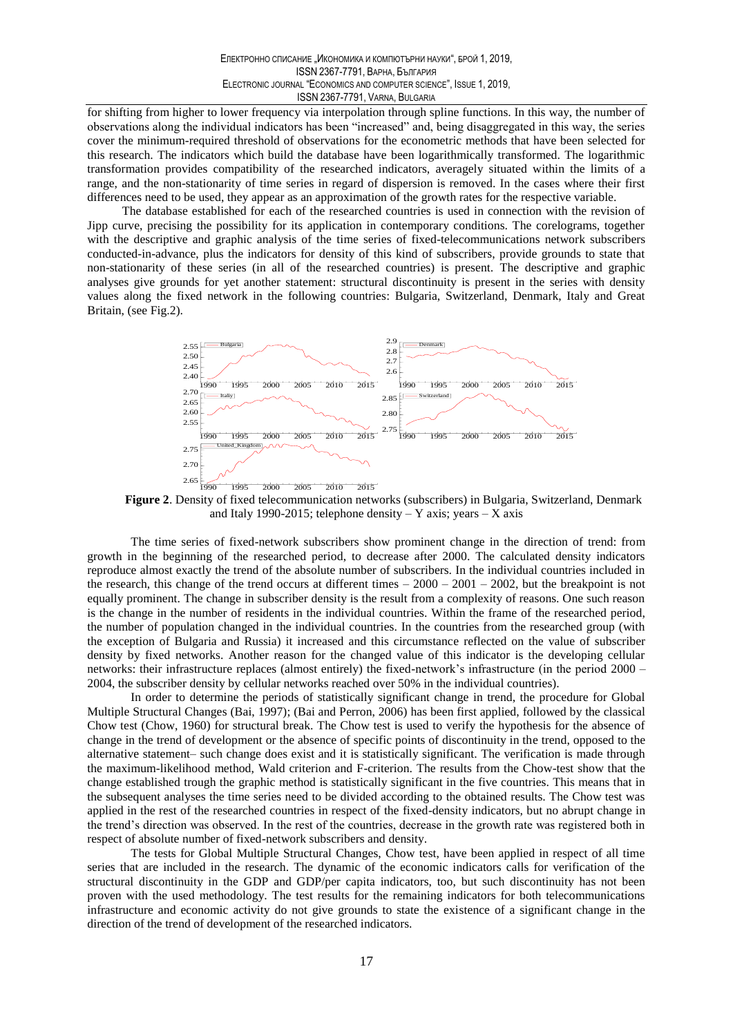for shifting from higher to lower frequency via interpolation through spline functions. In this way, the number of observations along the individual indicators has been "increased" and, being disaggregated in this way, the series cover the minimum-required threshold of observations for the econometric methods that have been selected for this research. The indicators which build the database have been logarithmically transformed. The logarithmic transformation provides compatibility of the researched indicators, averagely situated within the limits of a range, and the non-stationarity of time series in regard of dispersion is removed. In the cases where their first differences need to be used, they appear as an approximation of the growth rates for the respective variable.

The database established for each of the researched countries is used in connection with the revision of Jipp curve, precising the possibility for its application in contemporary conditions. The corelograms, together with the descriptive and graphic analysis of the time series of fixed-telecommunications network subscribers conducted-in-advance, plus the indicators for density of this kind of subscribers, provide grounds to state that non-stationarity of these series (in all of the researched countries) is present. The descriptive and graphic analyses give grounds for yet another statement: structural discontinuity is present in the series with density values along the fixed network in the following countries: Bulgaria, Switzerland, Denmark, Italy and Great Britain, (see Fig.2).



Figure 2. Density of fixed telecommunication networks (subscribers) in Bulgaria, Switzerland, Denmark and Italy 1990-2015; telephone density  $-$  Y axis; years  $-$  X axis

The time series of fixed-network subscribers show prominent change in the direction of trend: from growth in the beginning of the researched period, to decrease after 2000. The calculated density indicators reproduce almost exactly the trend of the absolute number of subscribers. In the individual countries included in the research, this change of the trend occurs at different times  $-2000 - 2001 - 2002$ , but the breakpoint is not equally prominent. The change in subscriber density is the result from a complexity of reasons. One such reason is the change in the number of residents in the individual countries. Within the frame of the researched period, the number of population changed in the individual countries. In the countries from the researched group (with the exception of Bulgaria and Russia) it increased and this circumstance reflected on the value of subscriber density by fixed networks. Another reason for the changed value of this indicator is the developing cellular networks: their infrastructure replaces (almost entirely) the fixed-network's infrastructure (in the period 2000 – 2004, the subscriber density by cellular networks reached over 50% in the individual countries).

In order to determine the periods of statistically significant change in trend, the procedure for Global Multiple Structural Changes (Bai, 1997); (Bai and Perron, 2006) has been first applied, followed by the classical Chow test (Chow, 1960) for structural break. The Chow test is used to verify the hypothesis for the absence of change in the trend of development or the absence of specific points of discontinuity in the trend, opposed to the alternative statement- such change does exist and it is statistically significant. The verification is made through the maximum-likelihood method, Wald criterion and F-criterion. The results from the Chow-test show that the change established trough the graphic method is statistically significant in the five countries. This means that in the subsequent analyses the time series need to be divided according to the obtained results. The Chow test was applied in the rest of the researched countries in respect of the fixed-density indicators, but no abrupt change in the trend's direction was observed. In the rest of the countries, decrease in the growth rate was registered both in respect of absolute number of fixed-network subscribers and density.

The tests for Global Multiple Structural Changes, Chow test, have been applied in respect of all time series that are included in the research. The dynamic of the economic indicators calls for verification of the structural discontinuity in the GDP and GDP/per capita indicators, too, but such discontinuity has not been proven with the used methodology. The test results for the remaining indicators for both telecommunications infrastructure and economic activity do not give grounds to state the existence of a significant change in the direction of the trend of development of the researched indicators.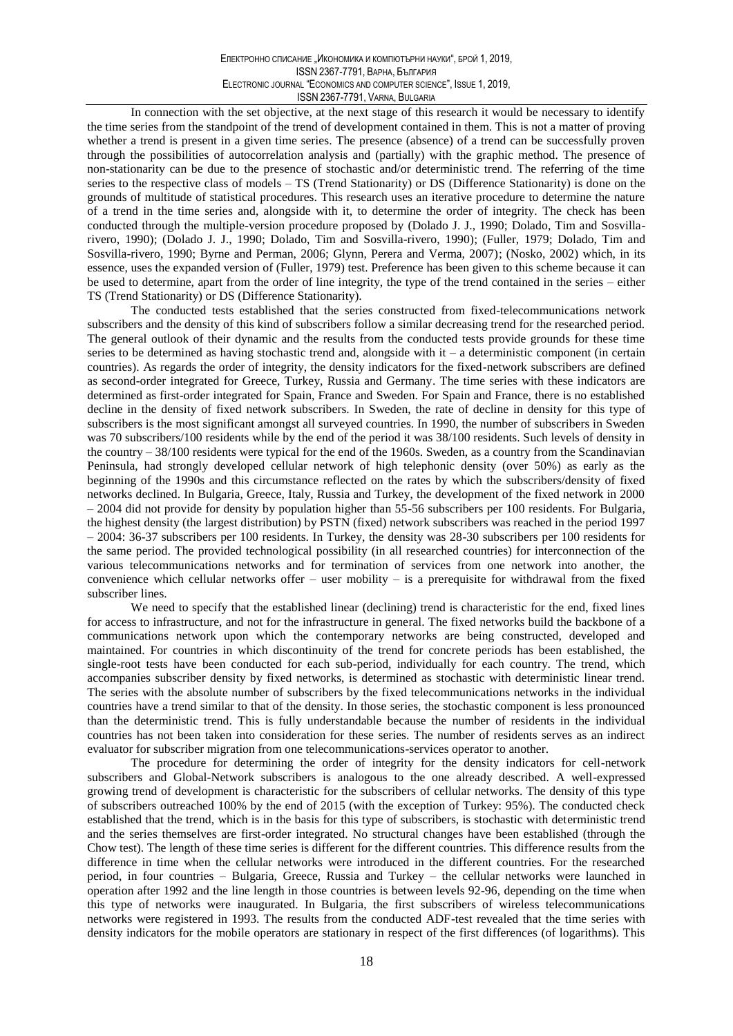In connection with the set objective, at the next stage of this research it would be necessary to identify the time series from the standpoint of the trend of development contained in them. This is not a matter of proving whether a trend is present in a given time series. The presence (absence) of a trend can be successfully proven through the possibilities of autocorrelation analysis and (partially) with the graphic method. The presence of non-stationarity can be due to the presence of stochastic and/or deterministic trend. The referring of the time series to the respective class of models  $-$  TS (Trend Stationarity) or DS (Difference Stationarity) is done on the grounds of multitude of statistical procedures. This research uses an iterative procedure to determine the nature of a trend in the time series and, alongside with it, to determine the order of integrity. The check has been conducted through the multiple-version procedure proposed by (Dolado J. J., 1990; Dolado, Tim and Sosvillarivero, 1990); (Dolado J. J., 1990; Dolado, Tim and Sosvilla-rivero, 1990); (Fuller, 1979; Dolado, Tim and Sosvilla-rivero, 1990; Byrne and Perman, 2006; Glynn, Perera and Verma, 2007); (Nosko, 2002) which, in its essence, uses the expanded version of (Fuller, 1979) test. Preference has been given to this scheme because it can be used to determine, apart from the order of line integrity, the type of the trend contained in the series - either TS (Trend Stationarity) or DS (Difference Stationarity).

The conducted tests established that the series constructed from fixed-telecommunications network subscribers and the density of this kind of subscribers follow a similar decreasing trend for the researched period. The general outlook of their dynamic and the results from the conducted tests provide grounds for these time series to be determined as having stochastic trend and, alongside with it - a deterministic component (in certain countries). As regards the order of integrity, the density indicators for the fixed-network subscribers are defined as second-order integrated for Greece, Turkey, Russia and Germany. The time series with these indicators are determined as first-order integrated for Spain, France and Sweden. For Spain and France, there is no established decline in the density of fixed network subscribers. In Sweden, the rate of decline in density for this type of subscribers is the most significant amongst all surveyed countries. In 1990, the number of subscribers in Sweden was 70 subscribers/100 residents while by the end of the period it was 38/100 residents. Such levels of density in the country – 38/100 residents were typical for the end of the 1960s. Sweden, as a country from the Scandinavian Peninsula, had strongly developed cellular network of high telephonic density (over 50%) as early as the beginning of the 1990s and this circumstance reflected on the rates by which the subscribers/density of fixed networks declined. In Bulgaria, Greece, Italy, Russia and Turkey, the development of the fixed network in 2000  $-$  2004 did not provide for density by population higher than  $55-56$  subscribers per 100 residents. For Bulgaria, the highest density (the largest distribution) by PSTN (fixed) network subscribers was reached in the period 1997  $-$  2004: 36-37 subscribers per 100 residents. In Turkey, the density was 28-30 subscribers per 100 residents for the same period. The provided technological possibility (in all researched countries) for interconnection of the various telecommunications networks and for termination of services from one network into another, the convenience which cellular networks offer – user mobility – is a prerequisite for withdrawal from the fixed subscriber lines.

We need to specify that the established linear (declining) trend is characteristic for the end, fixed lines for access to infrastructure, and not for the infrastructure in general. The fixed networks build the backbone of a communications network upon which the contemporary networks are being constructed, developed and maintained. For countries in which discontinuity of the trend for concrete periods has been established, the single-root tests have been conducted for each sub-period, individually for each country. The trend, which accompanies subscriber density by fixed networks, is determined as stochastic with deterministic linear trend. The series with the absolute number of subscribers by the fixed telecommunications networks in the individual countries have a trend similar to that of the density. In those series, the stochastic component is less pronounced than the deterministic trend. This is fully understandable because the number of residents in the individual countries has not been taken into consideration for these series. The number of residents serves as an indirect evaluator for subscriber migration from one telecommunications-services operator to another.

The procedure for determining the order of integrity for the density indicators for cell-network subscribers and Global-Network subscribers is analogous to the one already described. A well-expressed growing trend of development is characteristic for the subscribers of cellular networks. The density of this type of subscribers outreached 100% by the end of 2015 (with the exception of Turkey: 95%). The conducted check established that the trend, which is in the basis for this type of subscribers, is stochastic with deterministic trend and the series themselves are first-order integrated. No structural changes have been established (through the Chow test). The length of these time series is different for the different countries. This difference results from the difference in time when the cellular networks were introduced in the different countries. For the researched period, in four countries - Bulgaria, Greece, Russia and Turkey - the cellular networks were launched in operation after 1992 and the line length in those countries is between levels 92-96, depending on the time when this type of networks were inaugurated. In Bulgaria, the first subscribers of wireless telecommunications networks were registered in 1993. The results from the conducted ADF-test revealed that the time series with density indicators for the mobile operators are stationary in respect of the first differences (of logarithms). This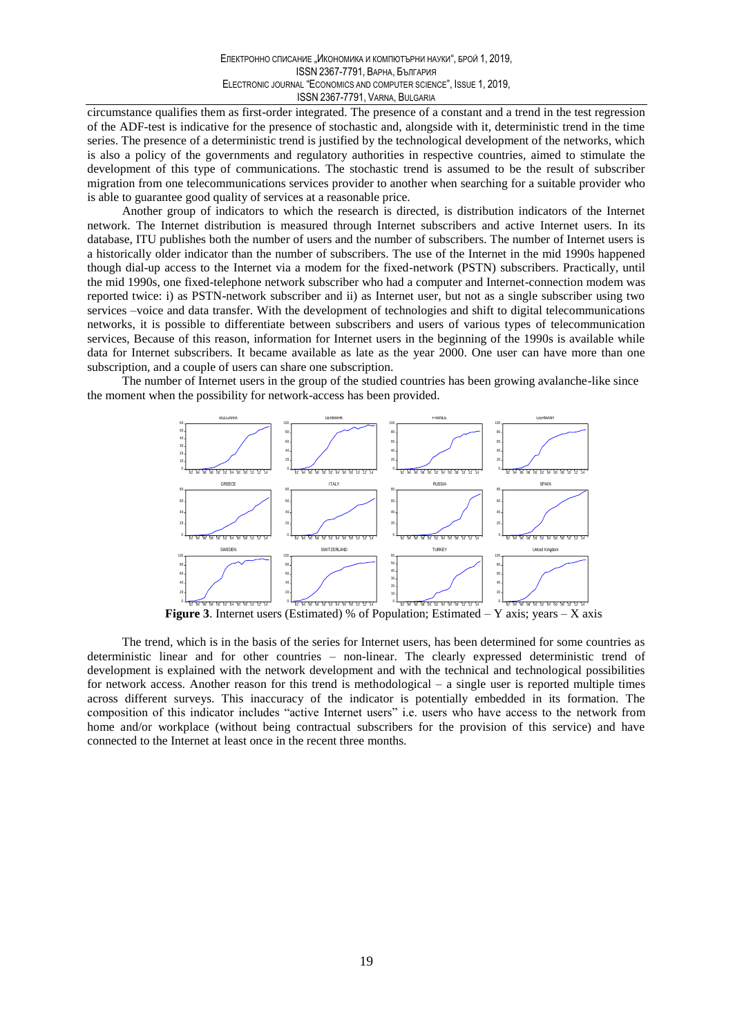circumstance qualifies them as first-order integrated. The presence of a constant and a trend in the test regression of the ADF-test is indicative for the presence of stochastic and, alongside with it, deterministic trend in the time series. The presence of a deterministic trend is justified by the technological development of the networks, which is also a policy of the governments and regulatory authorities in respective countries, aimed to stimulate the development of this type of communications. The stochastic trend is assumed to be the result of subscriber migration from one telecommunications services provider to another when searching for a suitable provider who is able to guarantee good quality of services at a reasonable price.

Another group of indicators to which the research is directed, is distribution indicators of the Internet network. The Internet distribution is measured through Internet subscribers and active Internet users. In its database, ITU publishes both the number of users and the number of subscribers. The number of Internet users is a historically older indicator than the number of subscribers. The use of the Internet in the mid 1990s happened though dial-up access to the Internet via a modem for the fixed-network (PSTN) subscribers. Practically, until the mid 1990s, one fixed-telephone network subscriber who had a computer and Internet-connection modem was reported twice: i) as PSTN-network subscriber and ii) as Internet user, but not as a single subscriber using two services –voice and data transfer. With the development of technologies and shift to digital telecommunications networks, it is possible to differentiate between subscribers and users of various types of telecommunication services, Because of this reason, information for Internet users in the beginning of the 1990s is available while data for Internet subscribers. It became available as late as the year 2000. One user can have more than one subscription, and a couple of users can share one subscription.

The number of Internet users in the group of the studied countries has been growing avalanche-like since the moment when the possibility for network-access has been provided.



The trend, which is in the basis of the series for Internet users, has been determined for some countries as deterministic linear and for other countries - non-linear. The clearly expressed deterministic trend of development is explained with the network development and with the technical and technological possibilities for network access. Another reason for this trend is methodological  $-$  a single user is reported multiple times across different surveys. This inaccuracy of the indicator is potentially embedded in its formation. The composition of this indicator includes "active Internet users" i.e. users who have access to the network from home and/or workplace (without being contractual subscribers for the provision of this service) and have connected to the Internet at least once in the recent three months.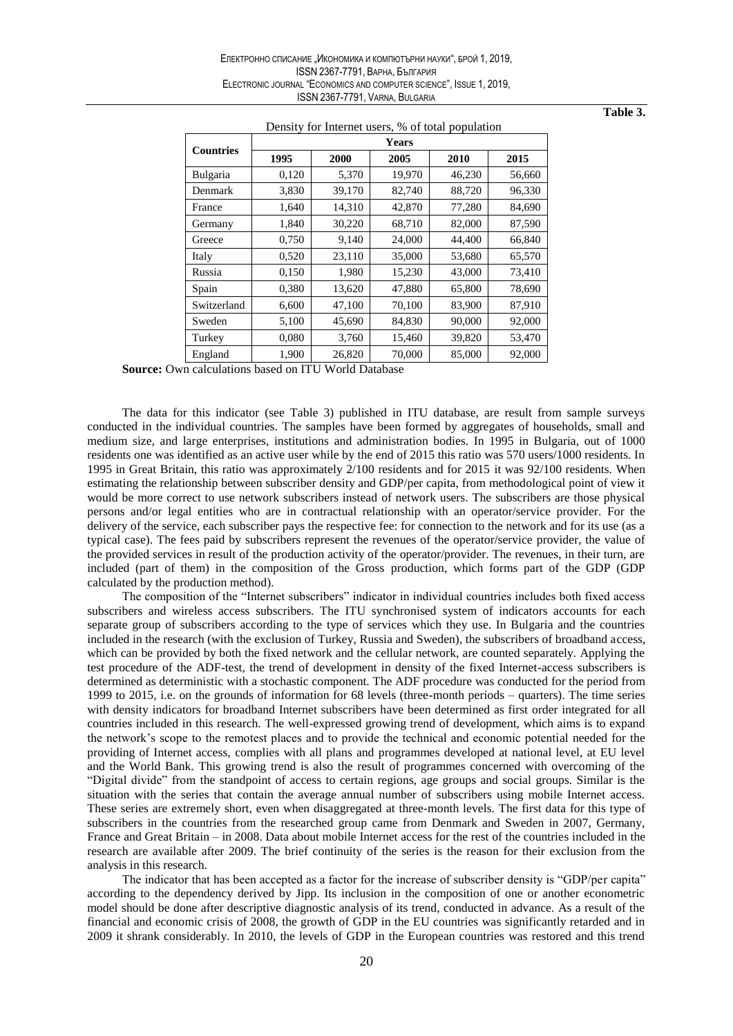|                  |       |        | <b>Years</b> |        |        |
|------------------|-------|--------|--------------|--------|--------|
| <b>Countries</b> | 1995  | 2000   | 2005         | 2010   | 2015   |
| Bulgaria         | 0,120 | 5,370  | 19,970       | 46,230 | 56,660 |
| Denmark          | 3,830 | 39,170 | 82,740       | 88,720 | 96,330 |
| France           | 1,640 | 14,310 | 42,870       | 77,280 | 84,690 |
| Germany          | 1,840 | 30,220 | 68,710       | 82,000 | 87,590 |
| Greece           | 0,750 | 9,140  | 24,000       | 44,400 | 66,840 |
| Italy            | 0,520 | 23,110 | 35,000       | 53,680 | 65,570 |
| Russia           | 0,150 | 1,980  | 15,230       | 43,000 | 73,410 |
| Spain            | 0,380 | 13,620 | 47,880       | 65,800 | 78,690 |
| Switzerland      | 6,600 | 47,100 | 70,100       | 83,900 | 87,910 |
| Sweden           | 5,100 | 45,690 | 84,830       | 90,000 | 92,000 |
| Turkey           | 0,080 | 3,760  | 15,460       | 39,820 | 53,470 |
| England          | 1,900 | 26,820 | 70,000       | 85,000 | 92,000 |

## Density for Internet users % of total population

Table 3.

**Source:** Own calculations based on ITU World Database

The data for this indicator (see Table 3) published in ITU database, are result from sample surveys conducted in the individual countries. The samples have been formed by aggregates of households, small and medium size, and large enterprises, institutions and administration bodies. In 1995 in Bulgaria, out of 1000 residents one was identified as an active user while by the end of 2015 this ratio was 570 users/1000 residents. In 1995 in Great Britain, this ratio was approximately 2/100 residents and for 2015 it was 92/100 residents. When estimating the relationship between subscriber density and GDP/per capita, from methodological point of view it would be more correct to use network subscribers instead of network users. The subscribers are those physical persons and/or legal entities who are in contractual relationship with an operator/service provider. For the delivery of the service, each subscriber pays the respective fee: for connection to the network and for its use (as a typical case). The fees paid by subscribers represent the revenues of the operator/service provider, the value of the provided services in result of the production activity of the operator/provider. The revenues, in their turn, are included (part of them) in the composition of the Gross production, which forms part of the GDP (GDP calculated by the production method).

The composition of the "Internet subscribers" indicator in individual countries includes both fixed access subscribers and wireless access subscribers. The ITU synchronised system of indicators accounts for each separate group of subscribers according to the type of services which they use. In Bulgaria and the countries included in the research (with the exclusion of Turkey, Russia and Sweden), the subscribers of broadband access, which can be provided by both the fixed network and the cellular network, are counted separately. Applying the test procedure of the ADF-test, the trend of development in density of the fixed Internet-access subscribers is determined as deterministic with a stochastic component. The ADF procedure was conducted for the period from 1999 to 2015, i.e. on the grounds of information for  $68$  levels (three-month periods – quarters). The time series with density indicators for broadband Internet subscribers have been determined as first order integrated for all countries included in this research. The well-expressed growing trend of development, which aims is to expand the network's scope to the remotest places and to provide the technical and economic potential needed for the providing of Internet access, complies with all plans and programmes developed at national level, at EU level and the World Bank. This growing trend is also the result of programmes concerned with overcoming of the "Digital divide" from the standpoint of access to certain regions, age groups and social groups. Similar is the situation with the series that contain the average annual number of subscribers using mobile Internet access. These series are extremely short, even when disaggregated at three-month levels. The first data for this type of subscribers in the countries from the researched group came from Denmark and Sweden in 2007, Germany, France and Great Britain – in 2008. Data about mobile Internet access for the rest of the countries included in the research are available after 2009. The brief continuity of the series is the reason for their exclusion from the analysis in this research.

The indicator that has been accepted as a factor for the increase of subscriber density is "GDP/per capita" according to the dependency derived by Jipp. Its inclusion in the composition of one or another econometric model should be done after descriptive diagnostic analysis of its trend, conducted in advance. As a result of the financial and economic crisis of 2008, the growth of GDP in the EU countries was significantly retarded and in 2009 it shrank considerably. In 2010, the levels of GDP in the European countries was restored and this trend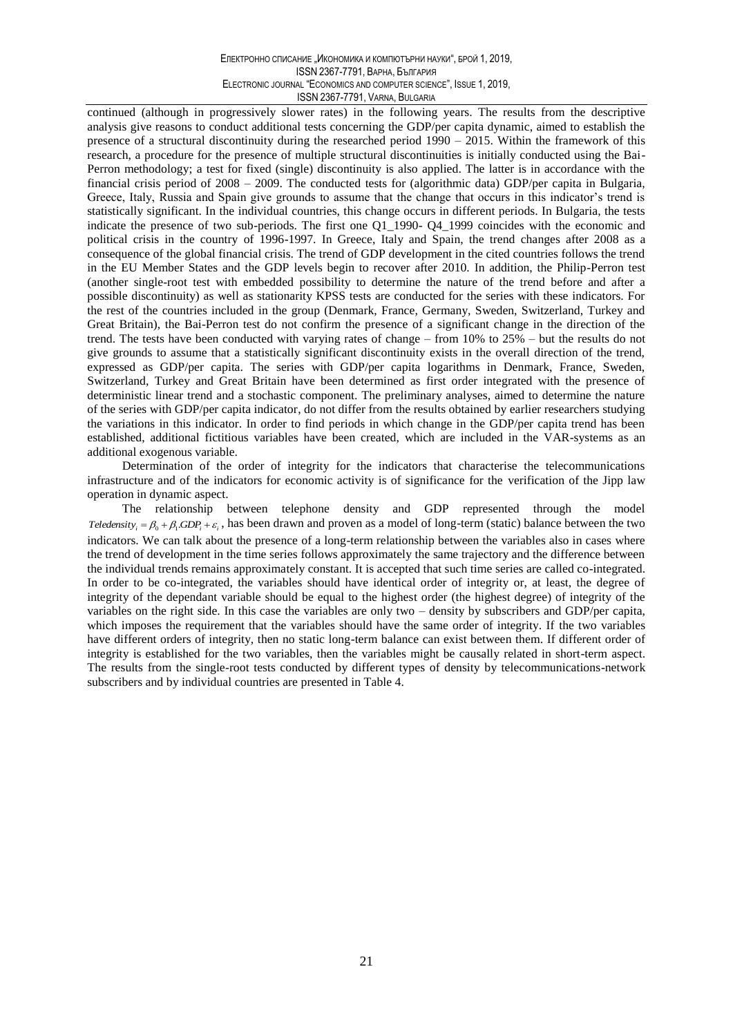continued (although in progressively slower rates) in the following years. The results from the descriptive analysis give reasons to conduct additional tests concerning the GDP/per capita dynamic, aimed to establish the presence of a structural discontinuity during the researched period  $1990 - 2015$ . Within the framework of this research, a procedure for the presence of multiple structural discontinuities is initially conducted using the Bai-Perron methodology; a test for fixed (single) discontinuity is also applied. The latter is in accordance with the financial crisis period of  $2008 - 2009$ . The conducted tests for (algorithmic data) GDP/per capita in Bulgaria, Greece, Italy, Russia and Spain give grounds to assume that the change that occurs in this indicator's trend is statistically significant. In the individual countries, this change occurs in different periods. In Bulgaria, the tests indicate the presence of two sub-periods. The first one Q1\_1990- Q4\_1999 coincides with the economic and political crisis in the country of 1996-1997. In Greece, Italy and Spain, the trend changes after 2008 as a consequence of the global financial crisis. The trend of GDP development in the cited countries follows the trend in the EU Member States and the GDP levels begin to recover after 2010. In addition, the Philip-Perron test (another single-root test with embedded possibility to determine the nature of the trend before and after a possible discontinuity) as well as stationarity KPSS tests are conducted for the series with these indicators. For the rest of the countries included in the group (Denmark, France, Germany, Sweden, Switzerland, Turkey and Great Britain), the Bai-Perron test do not confirm the presence of a significant change in the direction of the trend. The tests have been conducted with varying rates of change - from 10% to 25% - but the results do not give grounds to assume that a statistically significant discontinuity exists in the overall direction of the trend, expressed as GDP/per capita. The series with GDP/per capita logarithms in Denmark, France, Sweden, Switzerland, Turkey and Great Britain have been determined as first order integrated with the presence of deterministic linear trend and a stochastic component. The preliminary analyses, aimed to determine the nature of the series with GDP/per capita indicator, do not differ from the results obtained by earlier researchers studying the variations in this indicator. In order to find periods in which change in the GDP/per capita trend has been established, additional fictitious variables have been created, which are included in the VAR-systems as an additional exogenous variable.

Determination of the order of integrity for the indicators that characterise the telecommunications infrastructure and of the indicators for economic activity is of significance for the verification of the Jipp law operation in dynamic aspect.

The relationship between telephone density and GDP represented through the model *Teledensity<sub>i</sub>* =  $\beta_0 + \beta_1 GDP_i + \varepsilon_i$ , has been drawn and proven as a model of long-term (static) balance between the two indicators. We can talk about the presence of a long-term relationship between the variables also in cases where the trend of development in the time series follows approximately the same trajectory and the difference between the individual trends remains approximately constant. It is accepted that such time series are called co-integrated. In order to be co-integrated, the variables should have identical order of integrity or, at least, the degree of integrity of the dependant variable should be equal to the highest order (the highest degree) of integrity of the variables on the right side. In this case the variables are only two – density by subscribers and GDP/per capita, which imposes the requirement that the variables should have the same order of integrity. If the two variables have different orders of integrity, then no static long-term balance can exist between them. If different order of integrity is established for the two variables, then the variables might be causally related in short-term aspect. The results from the single-root tests conducted by different types of density by telecommunications-network subscribers and by individual countries are presented in Table 4.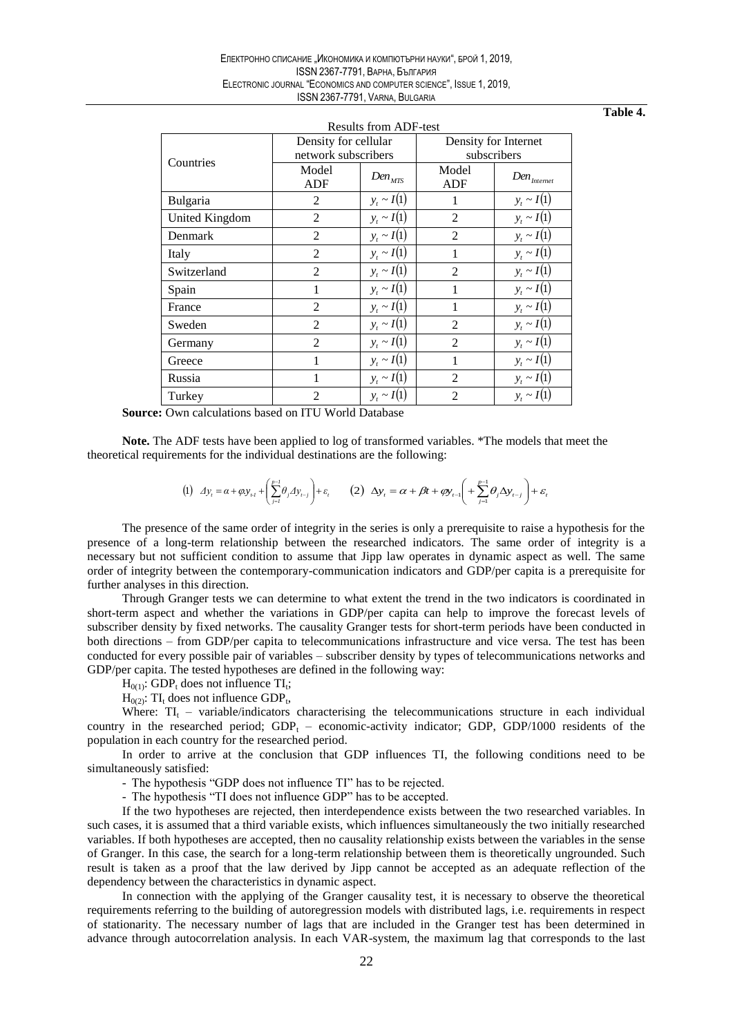| Table |  | г. |
|-------|--|----|
|       |  |    |

| Results from ADF-test |                      |                 |                      |                           |  |  |  |  |
|-----------------------|----------------------|-----------------|----------------------|---------------------------|--|--|--|--|
|                       | Density for cellular |                 | Density for Internet |                           |  |  |  |  |
| Countries             | network subscribers  |                 | subscribers          |                           |  |  |  |  |
|                       | Model                | $Den_{MTS}$     | Model                | $Den$ <sub>Internet</sub> |  |  |  |  |
|                       | <b>ADF</b>           |                 | ADF                  |                           |  |  |  |  |
| Bulgaria              | $\mathfrak{D}$       | $y_t \sim I(1)$ | 1                    | $y_t \sim I(1)$           |  |  |  |  |
| United Kingdom        | $\overline{2}$       | $y_t \sim I(1)$ | $\overline{2}$       | $y_t \sim I(1)$           |  |  |  |  |
| Denmark               | 2                    | $y_t \sim I(1)$ | $\overline{2}$       | $y_t \sim I(1)$           |  |  |  |  |
| Italy                 | $\overline{2}$       | $y_t \sim I(1)$ | 1                    | $y_t \sim I(1)$           |  |  |  |  |
| Switzerland           | $\overline{2}$       | $y_t \sim I(1)$ | $\overline{2}$       | $y_t \sim I(1)$           |  |  |  |  |
| Spain                 | 1                    | $y_t \sim I(1)$ |                      | $y_t \sim I(1)$           |  |  |  |  |
| France                | $\overline{2}$       | $y_t \sim I(1)$ | 1                    | $y_t \sim I(1)$           |  |  |  |  |
| Sweden                | $\overline{2}$       | $y_t \sim I(1)$ | $\overline{2}$       | $y_t \sim I(1)$           |  |  |  |  |
| Germany               | $\overline{c}$       | $y_t \sim I(1)$ | $\overline{2}$       | $y_t \sim I(1)$           |  |  |  |  |
| Greece                | 1                    | $y_t \sim I(1)$ | 1                    | $y_t \sim I(1)$           |  |  |  |  |
| Russia                | 1                    | $y_t \sim I(1)$ | $\overline{2}$       | $y_t \sim I(1)$           |  |  |  |  |
| Turkey                | $\mathfrak{D}$       | $y_t \sim I(1)$ | $\overline{2}$       | $y_t \sim I(1)$           |  |  |  |  |

**Source:** Own calculations based on ITU World Database

Note. The ADF tests have been applied to log of transformed variables. \*The models that meet the theoretical requirements for the individual destinations are the following:

$$
(1) \quad \text{and} \quad \Delta y_{i} = \alpha + \varphi y_{i\cdot l} + \left(\sum_{j= l}^{p-1}\theta_{j}\Delta y_{i-j}\right) + \varepsilon, \qquad (2) \quad \Delta y_{t} = \alpha + \beta t + \varphi y_{t-1}\left( \frac{p-1}{2}\theta_{j}\Delta y_{t-j}\right) + \varepsilon,
$$

The presence of the same order of integrity in the series is only a prerequisite to raise a hypothesis for the presence of a long-term relationship between the researched indicators. The same order of integrity is a necessary but not sufficient condition to assume that Jipp law operates in dynamic aspect as well. The same order of integrity between the contemporary-communication indicators and GDP/per capita is a prerequisite for further analyses in this direction.

Through Granger tests we can determine to what extent the trend in the two indicators is coordinated in short-term aspect and whether the variations in GDP/per capita can help to improve the forecast levels of subscriber density by fixed networks. The causality Granger tests for short-term periods have been conducted in both directions – from GDP/per capita to telecommunications infrastructure and vice versa. The test has been conducted for every possible pair of variables – subscriber density by types of telecommunications networks and GDP/per capita. The tested hypotheses are defined in the following way:

 $H_{0(1)}$ : GDP<sub>t</sub> does not influence TI<sub>t</sub>;

 $H<sub>0(2)</sub>$ : TI<sub>t</sub> does not influence GDP<sub>t</sub>,

Where:  $TI_t$  – variable/indicators characterising the telecommunications structure in each individual country in the researched period;  $GDP_t$  – economic-activity indicator; GDP, GDP/1000 residents of the population in each country for the researched period.

In order to arrive at the conclusion that GDP influences TI, the following conditions need to be simultaneously satisfied:

- The hypothesis "GDP does not influence TI" has to be rejected.

- The hypothesis "TI does not influence GDP" has to be accepted.

If the two hypotheses are rejected, then interdependence exists between the two researched variables. In such cases, it is assumed that a third variable exists, which influences simultaneously the two initially researched variables. If both hypotheses are accepted, then no causality relationship exists between the variables in the sense of Granger. In this case, the search for a long-term relationship between them is theoretically ungrounded. Such result is taken as a proof that the law derived by Jipp cannot be accepted as an adequate reflection of the dependency between the characteristics in dynamic aspect.

In connection with the applying of the Granger causality test, it is necessary to observe the theoretical requirements referring to the building of autoregression models with distributed lags, i.e. requirements in respect of stationarity. The necessary number of lags that are included in the Granger test has been determined in advance through autocorrelation analysis. In each VAR-system, the maximum lag that corresponds to the last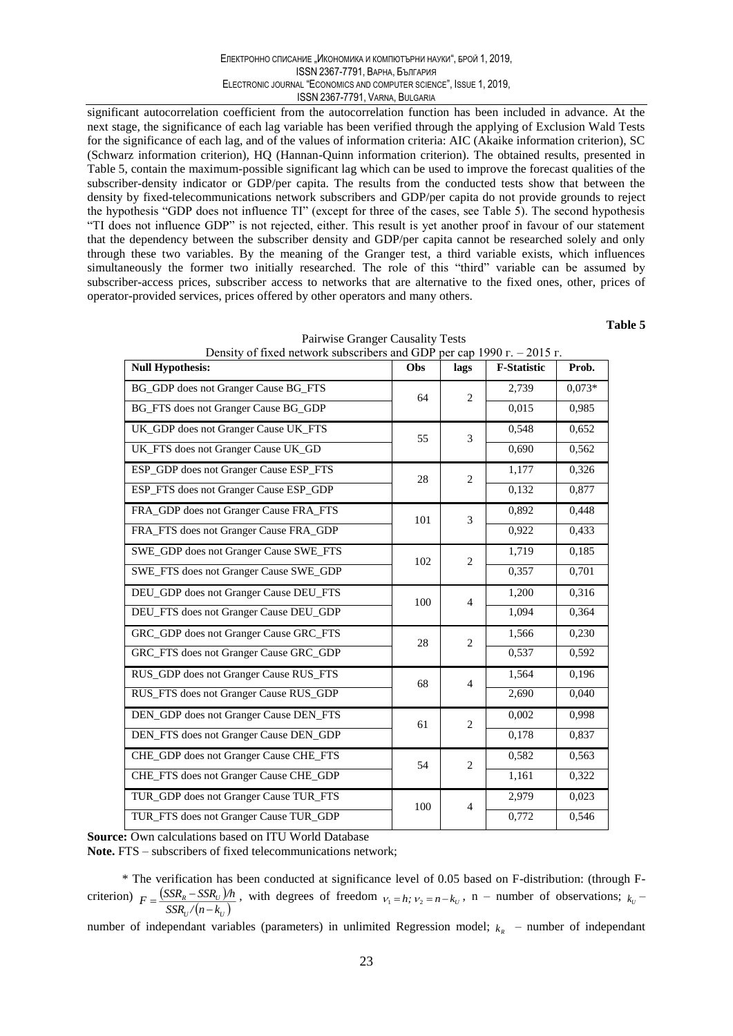significant autocorrelation coefficient from the autocorrelation function has been included in advance. At the next stage, the significance of each lag variable has been verified through the applying of Exclusion Wald Tests for the significance of each lag, and of the values of information criteria: AIC (Akaike information criterion), SC (Schwarz information criterion), HQ (Hannan-Quinn information criterion). The obtained results, presented in Table 5, contain the maximum-possible significant lag which can be used to improve the forecast qualities of the subscriber-density indicator or GDP/per capita. The results from the conducted tests show that between the density by fixed-telecommunications network subscribers and GDP/per capita do not provide grounds to reject the hypothesis "GDP does not influence TI" (except for three of the cases, see Table 5). The second hypothesis "TI does not influence GDP" is not rejected, either. This result is yet another proof in favour of our statement that the dependency between the subscriber density and GDP/per capita cannot be researched solely and only through these two variables. By the meaning of the Granger test, a third variable exists, which influences simultaneously the former two initially researched. The role of this "third" variable can be assumed by subscriber-access prices, subscriber access to networks that are alternative to the fixed ones, other, prices of operator-provided services, prices offered by other operators and many others.

Table 5

| Defisity of fixed network subscribers and GDP |     |                  | per cap 1990 $\Gamma$ – 2013 $\Gamma$ . |          |
|-----------------------------------------------|-----|------------------|-----------------------------------------|----------|
| <b>Null Hypothesis:</b>                       | Obs | lags             | <b>F-Statistic</b>                      | Prob.    |
| BG_GDP does not Granger Cause BG_FTS          | 64  | $\mathbf{2}$     | 2,739                                   | $0,073*$ |
| BG_FTS does not Granger Cause BG_GDP          |     |                  | 0,015                                   | 0,985    |
| UK_GDP does not Granger Cause UK_FTS          | 55  | 3                | 0,548                                   | 0,652    |
| UK_FTS does not Granger Cause UK_GD           |     |                  | 0,690                                   | 0,562    |
| ESP_GDP does not Granger Cause ESP_FTS        | 28  | $\overline{2}$   | 1,177                                   | 0,326    |
| ESP_FTS does not Granger Cause ESP_GDP        |     |                  | 0,132                                   | 0,877    |
| FRA_GDP does not Granger Cause FRA_FTS        | 101 | 3                | 0,892                                   | 0,448    |
| FRA_FTS does not Granger Cause FRA_GDP        |     |                  | 0,922                                   | 0,433    |
| SWE_GDP does not Granger Cause SWE_FTS        | 102 | $\overline{2}$   | 1,719                                   | 0,185    |
| SWE_FTS does not Granger Cause SWE_GDP        |     |                  | 0,357                                   | 0,701    |
| DEU_GDP does not Granger Cause DEU_FTS        | 100 | $\overline{4}$   | 1,200                                   | 0,316    |
| DEU_FTS does not Granger Cause DEU_GDP        |     |                  | 1,094                                   | 0,364    |
| GRC_GDP does not Granger Cause GRC_FTS        | 28  | $\overline{2}$   | 1,566                                   | 0,230    |
| GRC_FTS does not Granger Cause GRC_GDP        |     |                  | 0,537                                   | 0,592    |
| RUS_GDP does not Granger Cause RUS_FTS        | 68  | $\overline{4}$   | 1,564                                   | 0,196    |
| RUS_FTS does not Granger Cause RUS_GDP        |     |                  | 2,690                                   | 0,040    |
| DEN_GDP does not Granger Cause DEN_FTS        | 61  | $\overline{c}$   | 0,002                                   | 0,998    |
| DEN_FTS does not Granger Cause DEN_GDP        |     |                  | 0,178                                   | 0,837    |
| CHE_GDP does not Granger Cause CHE_FTS        | 54  | $\boldsymbol{2}$ | 0,582                                   | 0,563    |
| CHE_FTS does not Granger Cause CHE_GDP        |     |                  | 1,161                                   | 0,322    |
| TUR_GDP does not Granger Cause TUR_FTS        | 100 | $\overline{4}$   | 2,979                                   | 0,023    |
| TUR_FTS does not Granger Cause TUR_GDP        |     |                  | 0,772                                   | 0,546    |

|  | Pairwise Granger Causanty Tests |       |
|--|---------------------------------|-------|
|  |                                 | 0.015 |

**Source: Own calculations based on ITU World Database** 

 $D_1$  and  $D_2$ 

Note. FTS – subscribers of fixed telecommunications network;

\* The verification has been conducted at significance level of 0.05 based on F-distribution: (through Fcriterion)  $F = \frac{(SSR_R - SSR_U)/h}{SSR_U/(n-k_U)}$ , with degrees of freedom  $v_1 = h$ ;  $v_2 = n-k_U$ , n – number of observations;  $k_U$  –

number of independant variables (parameters) in unlimited Regression model;  $k_R$  – number of independant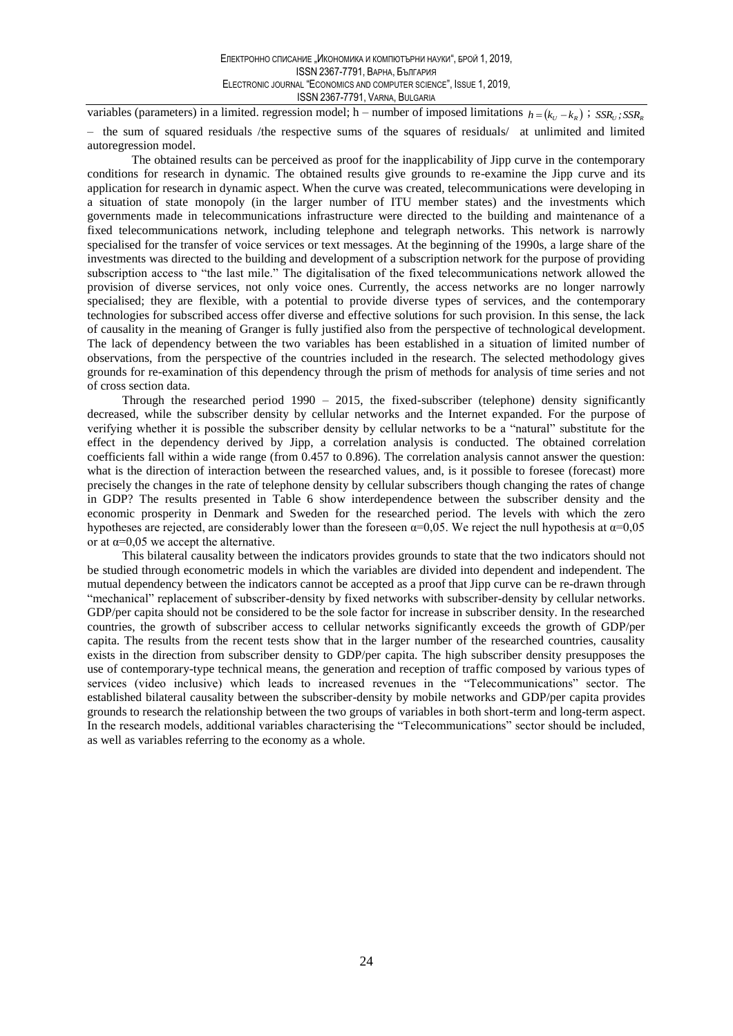variables (parameters) in a limited. regression model; h – number of imposed limitations  $h = (k_U - k_R)$ ;  $SSR_U$ ;  $SSR_R$ 

- the sum of squared residuals /the respective sums of the squares of residuals/ at unlimited and limited autoregression model.

The obtained results can be perceived as proof for the inapplicability of Jipp curve in the contemporary conditions for research in dynamic. The obtained results give grounds to re-examine the Jipp curve and its application for research in dynamic aspect. When the curve was created, telecommunications were developing in a situation of state monopoly (in the larger number of ITU member states) and the investments which governments made in telecommunications infrastructure were directed to the building and maintenance of a fixed telecommunications network, including telephone and telegraph networks. This network is narrowly specialised for the transfer of voice services or text messages. At the beginning of the 1990s, a large share of the investments was directed to the building and development of a subscription network for the purpose of providing subscription access to "the last mile." The digitalisation of the fixed telecommunications network allowed the provision of diverse services, not only voice ones. Currently, the access networks are no longer narrowly specialised; they are flexible, with a potential to provide diverse types of services, and the contemporary technologies for subscribed access offer diverse and effective solutions for such provision. In this sense, the lack of causality in the meaning of Granger is fully justified also from the perspective of technological development. The lack of dependency between the two variables has been established in a situation of limited number of observations, from the perspective of the countries included in the research. The selected methodology gives grounds for re-examination of this dependency through the prism of methods for analysis of time series and not of cross section data.

Through the researched period  $1990 - 2015$ , the fixed-subscriber (telephone) density significantly decreased, while the subscriber density by cellular networks and the Internet expanded. For the purpose of verifying whether it is possible the subscriber density by cellular networks to be a "natural" substitute for the effect in the dependency derived by Jipp, a correlation analysis is conducted. The obtained correlation coefficients fall within a wide range (from 0.457 to 0.896). The correlation analysis cannot answer the question: what is the direction of interaction between the researched values, and, is it possible to foresee (forecast) more precisely the changes in the rate of telephone density by cellular subscribers though changing the rates of change in GDP? The results presented in Table 6 show interdependence between the subscriber density and the economic prosperity in Denmark and Sweden for the researched period. The levels with which the zero hypotheses are rejected, are considerably lower than the foreseen  $\alpha=0.05$ . We reject the null hypothesis at  $\alpha=0.05$ or at  $\alpha$ =0,05 we accept the alternative.

This bilateral causality between the indicators provides grounds to state that the two indicators should not be studied through econometric models in which the variables are divided into dependent and independent. The mutual dependency between the indicators cannot be accepted as a proof that Jipp curve can be re-drawn through "mechanical" replacement of subscriber-density by fixed networks with subscriber-density by cellular networks. GDP/per capita should not be considered to be the sole factor for increase in subscriber density. In the researched countries, the growth of subscriber access to cellular networks significantly exceeds the growth of GDP/per capita. The results from the recent tests show that in the larger number of the researched countries, causality exists in the direction from subscriber density to GDP/per capita. The high subscriber density presupposes the use of contemporary-type technical means, the generation and reception of traffic composed by various types of services (video inclusive) which leads to increased revenues in the "Telecommunications" sector. The established bilateral causality between the subscriber-density by mobile networks and GDP/per capita provides grounds to research the relationship between the two groups of variables in both short-term and long-term aspect. In the research models, additional variables characterising the "Telecommunications" sector should be included, as well as variables referring to the economy as a whole.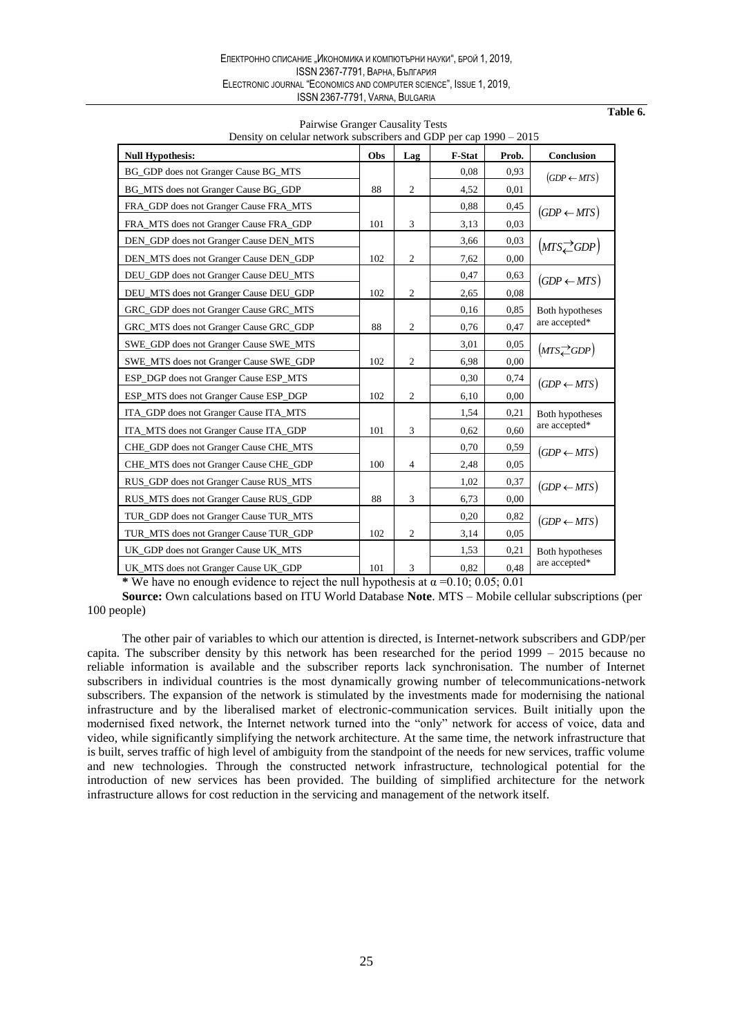| Density on celular network subscribers and GDP per cap $1990 - 2015$ |     |                  |        |       |                              |  |  |
|----------------------------------------------------------------------|-----|------------------|--------|-------|------------------------------|--|--|
| <b>Null Hypothesis:</b>                                              | Obs | Lag              | F-Stat | Prob. | Conclusion                   |  |  |
| BG_GDP does not Granger Cause BG_MTS                                 |     |                  | 0.08   | 0,93  | $(GDP \leftarrow MTS)$       |  |  |
| BG MTS does not Granger Cause BG GDP                                 | 88  | 2                | 4,52   | 0,01  |                              |  |  |
| FRA_GDP does not Granger Cause FRA_MTS                               |     |                  | 0,88   | 0,45  | $(GDP \leftarrow MTS)$       |  |  |
| FRA MTS does not Granger Cause FRA GDP                               | 101 | 3                | 3,13   | 0,03  |                              |  |  |
| DEN_GDP does not Granger Cause DEN_MTS                               |     |                  | 3,66   | 0,03  | $(MTS \rightleftarrows GDP)$ |  |  |
| DEN_MTS does not Granger Cause DEN_GDP                               | 102 | $\boldsymbol{2}$ | 7,62   | 0.00  |                              |  |  |
| DEU_GDP does not Granger Cause DEU_MTS                               |     |                  | 0,47   | 0,63  | $(GDP \leftarrow MTS)$       |  |  |
| DEU_MTS does not Granger Cause DEU_GDP                               | 102 | $\overline{c}$   | 2,65   | 0.08  |                              |  |  |
| GRC_GDP does not Granger Cause GRC_MTS                               |     |                  | 0,16   | 0.85  | <b>Both hypotheses</b>       |  |  |
| GRC_MTS does not Granger Cause GRC_GDP                               | 88  | $\mathfrak{2}$   | 0,76   | 0,47  | are accepted*                |  |  |
| SWE GDP does not Granger Cause SWE MTS                               |     |                  | 3,01   | 0.05  | $(MTS \angle GDP)$           |  |  |
| SWE MTS does not Granger Cause SWE GDP                               | 102 | $\mathfrak{2}$   | 6.98   | 0.00  |                              |  |  |
| ESP_DGP does not Granger Cause ESP_MTS                               |     |                  | 0,30   | 0.74  | $(GDP \leftarrow MTS)$       |  |  |
| ESP MTS does not Granger Cause ESP DGP                               | 102 | $\mathfrak{2}$   | 6,10   | 0,00  |                              |  |  |
| ITA_GDP does not Granger Cause ITA_MTS                               |     |                  | 1,54   | 0,21  | <b>Both hypotheses</b>       |  |  |
| ITA MTS does not Granger Cause ITA GDP                               | 101 | 3                | 0,62   | 0.60  | are accepted*                |  |  |
| CHE_GDP does not Granger Cause CHE_MTS                               |     |                  | 0,70   | 0,59  | $(GDP \leftarrow MTS)$       |  |  |
| CHE_MTS does not Granger Cause CHE_GDP                               | 100 | $\overline{4}$   | 2,48   | 0,05  |                              |  |  |
| RUS_GDP does not Granger Cause RUS_MTS                               |     |                  | 1,02   | 0,37  | $(GDP \leftarrow MTS)$       |  |  |
| RUS_MTS does not Granger Cause RUS_GDP                               | 88  | 3                | 6,73   | 0.00  |                              |  |  |
| TUR_GDP does not Granger Cause TUR_MTS                               |     |                  | 0,20   | 0,82  | $(GDP \leftarrow MTS)$       |  |  |
| TUR_MTS does not Granger Cause TUR_GDP                               | 102 | $\overline{2}$   | 3,14   | 0.05  |                              |  |  |
| UK_GDP does not Granger Cause UK_MTS                                 |     |                  | 1,53   | 0,21  | <b>Both hypotheses</b>       |  |  |
| UK_MTS does not Granger Cause UK_GDP                                 | 101 | 3                | 0,82   | 0,48  | are accepted*                |  |  |

Pairwise Granger Causality Tests

Table 6.

\* We have no enough evidence to reject the null hypothesis at  $\alpha$  =0.10; 0.05; 0.01

Source: Own calculations based on ITU World Database Note. MTS - Mobile cellular subscriptions (per 100 people)

The other pair of variables to which our attention is directed, is Internet-network subscribers and GDP/per capita. The subscriber density by this network has been researched for the period  $1999 - 2015$  because no reliable information is available and the subscriber reports lack synchronisation. The number of Internet subscribers in individual countries is the most dynamically growing number of telecommunications-network subscribers. The expansion of the network is stimulated by the investments made for modernising the national infrastructure and by the liberalised market of electronic-communication services. Built initially upon the modernised fixed network, the Internet network turned into the "only" network for access of voice, data and video, while significantly simplifying the network architecture. At the same time, the network infrastructure that is built, serves traffic of high level of ambiguity from the standpoint of the needs for new services, traffic volume and new technologies. Through the constructed network infrastructure, technological potential for the introduction of new services has been provided. The building of simplified architecture for the network infrastructure allows for cost reduction in the servicing and management of the network itself.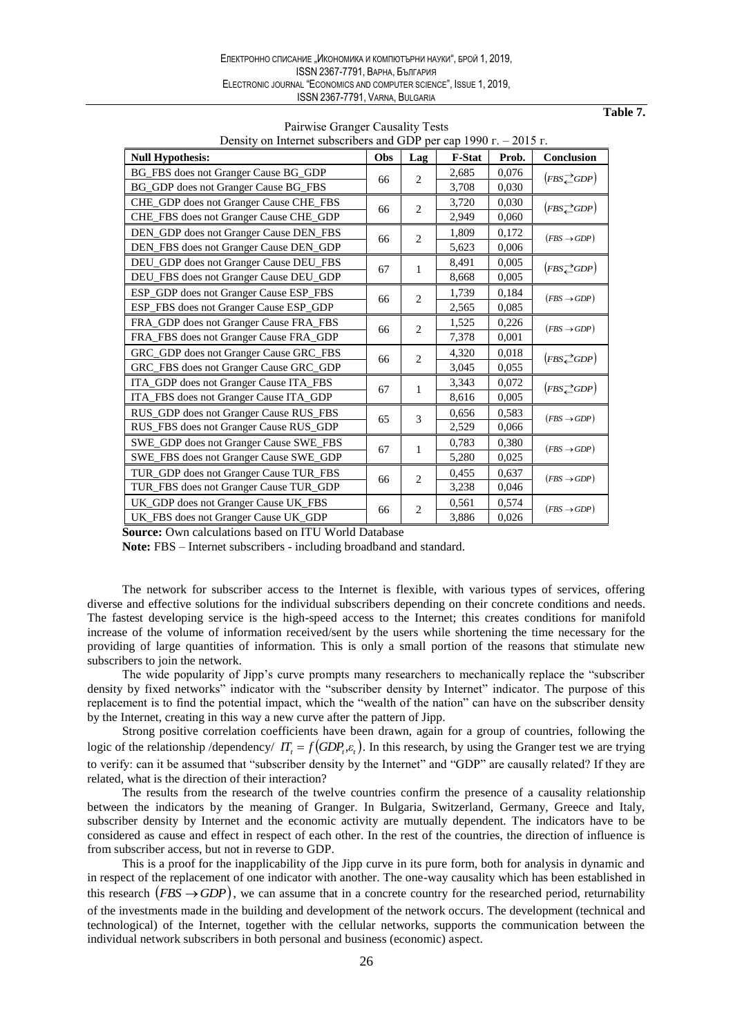Table 7.

 $\frac{1}{2}$ 

| Density on internet subscribers and GDP per cap $1990$ F. $-2015$ F. |     |                  |               |       |                              |  |
|----------------------------------------------------------------------|-----|------------------|---------------|-------|------------------------------|--|
| <b>Null Hypothesis:</b>                                              | Obs | Lag              | <b>F-Stat</b> | Prob. | Conclusion                   |  |
| BG_FBS does not Granger Cause BG_GDP                                 | 66  | $\mathbf{2}$     | 2,685         | 0,076 | $(FBS \nightharpoonup GDP)$  |  |
| BG_GDP does not Granger Cause BG_FBS                                 |     |                  | 3,708         | 0,030 |                              |  |
| CHE_GDP does not Granger Cause CHE_FBS                               | 66  | $\overline{2}$   | 3,720         | 0,030 | $(FBS \rightleftarrows GDP)$ |  |
| CHE_FBS does not Granger Cause CHE_GDP                               |     |                  | 2,949         | 0,060 |                              |  |
| DEN_GDP does not Granger Cause DEN_FBS                               | 66  | $\mathbf{2}$     | 1,809         | 0,172 | $(FBS \rightarrow GDP)$      |  |
| DEN_FBS does not Granger Cause DEN_GDP                               |     |                  | 5,623         | 0,006 |                              |  |
| DEU_GDP does not Granger Cause DEU_FBS                               | 67  | 1                | 8,491         | 0,005 | $(FBS \nightharpoonup GDP)$  |  |
| DEU_FBS does not Granger Cause DEU_GDP                               |     |                  | 8,668         | 0,005 |                              |  |
| ESP_GDP does not Granger Cause ESP_FBS                               | 66  | $\overline{c}$   | 1,739         | 0,184 | $(FBS \rightarrow GDP)$      |  |
| ESP_FBS does not Granger Cause ESP_GDP                               |     |                  | 2,565         | 0,085 |                              |  |
| FRA_GDP does not Granger Cause FRA_FBS                               |     | $\overline{2}$   | 1,525         | 0,226 | $(FBS \rightarrow GDP)$      |  |
| FRA_FBS does not Granger Cause FRA_GDP                               | 66  |                  | 7,378         | 0,001 |                              |  |
| GRC_GDP does not Granger Cause GRC_FBS                               | 66  | $\overline{2}$   | 4,320         | 0,018 | $(FBS \rightleftarrows GDP)$ |  |
| GRC_FBS does not Granger Cause GRC_GDP                               |     |                  | 3,045         | 0,055 |                              |  |
| ITA_GDP does not Granger Cause ITA_FBS                               | 67  | 1                | 3,343         | 0,072 | $(FBS \rightleftarrows GDP)$ |  |
| ITA_FBS does not Granger Cause ITA_GDP                               |     |                  | 8,616         | 0,005 |                              |  |
| RUS_GDP does not Granger Cause RUS_FBS                               | 65  | 3                | 0,656         | 0,583 | $(FBS \rightarrow GDP)$      |  |
| RUS_FBS does not Granger Cause RUS_GDP                               |     |                  | 2,529         | 0,066 |                              |  |
| SWE_GDP does not Granger Cause SWE_FBS                               | 67  | $\mathbf{1}$     | 0,783         | 0,380 | $(FBS \rightarrow GDP)$      |  |
| SWE_FBS does not Granger Cause SWE_GDP                               |     |                  | 5,280         | 0,025 |                              |  |
| TUR_GDP does not Granger Cause TUR_FBS                               | 66  | $\overline{2}$   | 0,455         | 0,637 | $(FBS \rightarrow GDP)$      |  |
| TUR_FBS does not Granger Cause TUR_GDP                               |     |                  | 3,238         | 0,046 |                              |  |
| UK_GDP does not Granger Cause UK_FBS                                 | 66  | $\boldsymbol{2}$ | 0,561         | 0,574 | $(FBS \rightarrow GDP)$      |  |
| UK_FBS does not Granger Cause UK_GDP                                 |     |                  | 3,886         | 0,026 |                              |  |

Pairwise Granger Causality Tests  $1000$ 

Source: Own calculations based on ITU World Database

Note: FBS – Internet subscribers - including broadband and standard.

The network for subscriber access to the Internet is flexible, with various types of services, offering diverse and effective solutions for the individual subscribers depending on their concrete conditions and needs. The fastest developing service is the high-speed access to the Internet; this creates conditions for manifold increase of the volume of information received/sent by the users while shortening the time necessary for the providing of large quantities of information. This is only a small portion of the reasons that stimulate new subscribers to join the network.

The wide popularity of Jipp's curve prompts many researchers to mechanically replace the "subscriber density by fixed networks" indicator with the "subscriber density by Internet" indicator. The purpose of this replacement is to find the potential impact, which the "wealth of the nation" can have on the subscriber density by the Internet, creating in this way a new curve after the pattern of Jipp.

Strong positive correlation coefficients have been drawn, again for a group of countries, following the logic of the relationship /dependency/  $IT_t = f(GDP_t, \varepsilon_t)$ . In this research, by using the Granger test we are trying to verify: can it be assumed that "subscriber density by the Internet" and "GDP" are causally related? If they are related, what is the direction of their interaction?

The results from the research of the twelve countries confirm the presence of a causality relationship between the indicators by the meaning of Granger. In Bulgaria, Switzerland, Germany, Greece and Italy, subscriber density by Internet and the economic activity are mutually dependent. The indicators have to be considered as cause and effect in respect of each other. In the rest of the countries, the direction of influence is from subscriber access, but not in reverse to GDP.

This is a proof for the inapplicability of the Jipp curve in its pure form, both for analysis in dynamic and in respect of the replacement of one indicator with another. The one-way causality which has been established in this research  $(FBS \rightarrow GDP)$ , we can assume that in a concrete country for the researched period, returnability of the investments made in the building and development of the network occurs. The development (technical and technological) of the Internet, together with the cellular networks, supports the communication between the individual network subscribers in both personal and business (economic) aspect.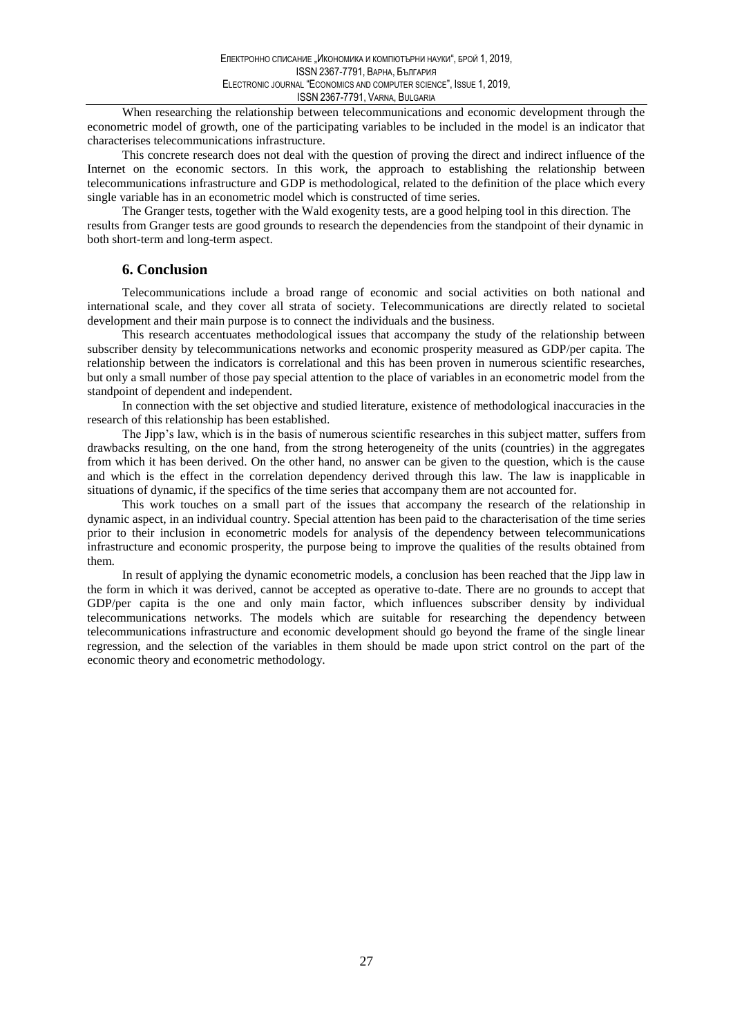When researching the relationship between telecommunications and economic development through the econometric model of growth, one of the participating variables to be included in the model is an indicator that characterises telecommunications infrastructure.

This concrete research does not deal with the question of proving the direct and indirect influence of the Internet on the economic sectors. In this work, the approach to establishing the relationship between telecommunications infrastructure and GDP is methodological, related to the definition of the place which every single variable has in an econometric model which is constructed of time series.

The Granger tests, together with the Wald exogenity tests, are a good helping tool in this direction. The results from Granger tests are good grounds to research the dependencies from the standpoint of their dynamic in both short-term and long-term aspect.

### **6. Conclusion**

Telecommunications include a broad range of economic and social activities on both national and international scale, and they cover all strata of society. Telecommunications are directly related to societal development and their main purpose is to connect the individuals and the business.

This research accentuates methodological issues that accompany the study of the relationship between subscriber density by telecommunications networks and economic prosperity measured as GDP/per capita. The relationship between the indicators is correlational and this has been proven in numerous scientific researches, but only a small number of those pay special attention to the place of variables in an econometric model from the standpoint of dependent and independent.

In connection with the set objective and studied literature, existence of methodological inaccuracies in the research of this relationship has been established.

The Jipp's law, which is in the basis of numerous scientific researches in this subject matter, suffers from drawbacks resulting, on the one hand, from the strong heterogeneity of the units (countries) in the aggregates from which it has been derived. On the other hand, no answer can be given to the question, which is the cause and which is the effect in the correlation dependency derived through this law. The law is inapplicable in situations of dynamic, if the specifics of the time series that accompany them are not accounted for.

This work touches on a small part of the issues that accompany the research of the relationship in dynamic aspect, in an individual country. Special attention has been paid to the characterisation of the time series prior to their inclusion in econometric models for analysis of the dependency between telecommunications infrastructure and economic prosperity, the purpose being to improve the qualities of the results obtained from them.

In result of applying the dynamic econometric models, a conclusion has been reached that the Jipp law in the form in which it was derived, cannot be accepted as operative to-date. There are no grounds to accept that GDP/per capita is the one and only main factor, which influences subscriber density by individual telecommunications networks. The models which are suitable for researching the dependency between telecommunications infrastructure and economic development should go beyond the frame of the single linear regression, and the selection of the variables in them should be made upon strict control on the part of the economic theory and econometric methodology.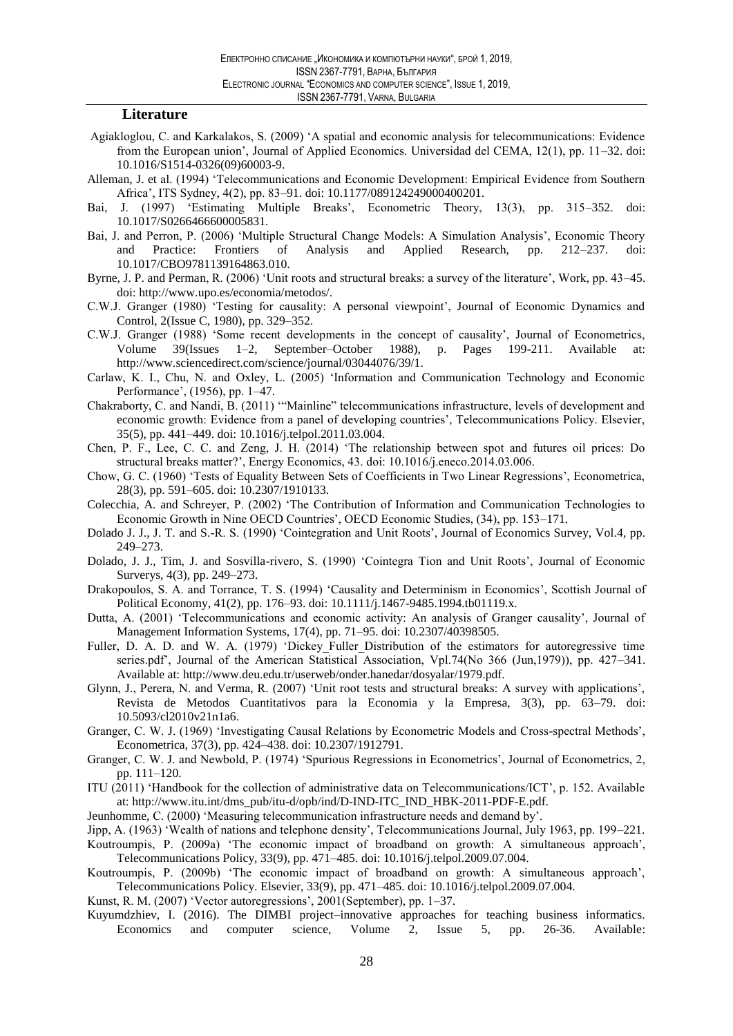### Literature

- Agiakloglou, C. and Karkalakos, S. (2009) 'A spatial and economic analysis for telecommunications: Evidence from the European union', Journal of Applied Economics. Universidad del CEMA, 12(1), pp. 11–32. doi: 10.1016/S1514-0326(09)60003-9.
- Alleman, J. et al. (1994) 'Telecommunications and Economic Development: Empirical Evidence from Southern Africa', ITS Sydney, 4(2), pp. 83-91. doi: 10.1177/089124249000400201.
- Bai. J. (1997) 'Estimating Multiple Breaks', Econometric Theory, 13(3), pp. 315–352. doi: 10.1017/S0266466600005831.
- Bai, J. and Perron, P. (2006) 'Multiple Structural Change Models: A Simulation Analysis', Economic Theory and Practice: Frontiers of Analysis and Applied Research,  $212 - 237.$ pp.  $\overline{\text{doi}}$ 10.1017/CBO9781139164863.010.
- Byrne, J. P. and Perman, R. (2006) 'Unit roots and structural breaks: a survey of the literature', Work, pp. 43–45. doi: http://www.upo.es/economia/metodos/.
- C.W.J. Granger (1980) 'Testing for causality: A personal viewpoint', Journal of Economic Dynamics and Control, 2(Issue C, 1980), pp. 329–352.
- C.W.J. Granger (1988) 'Some recent developments in the concept of causality', Journal of Econometrics, 1988), p. Pages  $39$ (Issues 1–2, September–October Volume 199-211. Available at: http://www.sciencedirect.com/science/journal/03044076/39/1.
- Carlaw, K. I., Chu, N. and Oxley, L. (2005) 'Information and Communication Technology and Economic Performance', (1956), pp. 1–47.
- Chakraborty, C. and Nandi, B. (2011) "Mainline" telecommunications infrastructure, levels of development and economic growth: Evidence from a panel of developing countries', Telecommunications Policy. Elsevier, 35(5), pp. 441-449. doi: 10.1016/j.telpol.2011.03.004.
- Chen, P. F., Lee, C. C. and Zeng, J. H. (2014) 'The relationship between spot and futures oil prices: Do structural breaks matter?', Energy Economics, 43. doi: 10.1016/j.eneco.2014.03.006.
- Chow, G. C. (1960) 'Tests of Equality Between Sets of Coefficients in Two Linear Regressions', Econometrica, 28(3), pp. 591-605. doi: 10.2307/1910133.
- Colecchia, A. and Schreyer, P. (2002) 'The Contribution of Information and Communication Technologies to Economic Growth in Nine OECD Countries', OECD Economic Studies, (34), pp. 153–171.
- Dolado J. J., J. T. and S.-R. S. (1990) 'Cointegration and Unit Roots', Journal of Economics Survey, Vol.4, pp.  $249 - 273$ .
- Dolado, J. J., Tim, J. and Sosvilla-rivero, S. (1990) 'Cointegra Tion and Unit Roots', Journal of Economic Surverys, 4(3), pp. 249–273.
- Drakopoulos, S. A. and Torrance, T. S. (1994) 'Causality and Determinism in Economics', Scottish Journal of Political Economy, 41(2), pp. 176–93. doi: 10.1111/j.1467-9485.1994.tb01119.x.
- Dutta, A. (2001) 'Telecommunications and economic activity: An analysis of Granger causality', Journal of Management Information Systems, 17(4), pp. 71–95. doi: 10.2307/40398505.
- Fuller, D. A. D. and W. A. (1979) 'Dickey Fuller Distribution of the estimators for autoregressive time series.pdf, Journal of the American Statistical Association, Vpl. 74(No 366 (Jun, 1979)), pp. 427–341. Available at: http://www.deu.edu.tr/userweb/onder.hanedar/dosyalar/1979.pdf.
- Glynn, J., Perera, N. and Verma, R. (2007) 'Unit root tests and structural breaks: A survey with applications', Revista de Metodos Cuantitativos para la Economia y la Empresa, 3(3), pp. 63-79. doi: 10.5093/cl2010v21n1a6.
- Granger, C. W. J. (1969) 'Investigating Causal Relations by Econometric Models and Cross-spectral Methods', Econometrica, 37(3), pp. 424-438. doi: 10.2307/1912791.
- Granger, C. W. J. and Newbold, P. (1974) 'Spurious Regressions in Econometrics', Journal of Econometrics, 2, pp. 111-120.
- ITU (2011) 'Handbook for the collection of administrative data on Telecommunications/ICT', p. 152. Available at: http://www.itu.int/dms\_pub/itu-d/opb/ind/D-IND-ITC\_IND\_HBK-2011-PDF-E.pdf.
- Jeunhomme, C. (2000) 'Measuring telecommunication infrastructure needs and demand by'.
- Jipp, A. (1963) 'Wealth of nations and telephone density', Telecommunications Journal, July 1963, pp. 199–221.
- Koutroumpis, P. (2009a) 'The economic impact of broadband on growth: A simultaneous approach', Telecommunications Policy, 33(9), pp. 471-485. doi: 10.1016/j.telpol.2009.07.004.
- Koutroumpis, P. (2009b) 'The economic impact of broadband on growth: A simultaneous approach', Telecommunications Policy. Elsevier, 33(9), pp. 471-485. doi: 10.1016/j.telpol.2009.07.004.
- Kunst, R. M. (2007) 'Vector autoregressions', 2001(September), pp. 1–37.
- Kuyumdzhiev, I. (2016). The DIMBI project-innovative approaches for teaching business informatics. Economics and computer science, Volume 2. Issue 5,  $26-36.$ Available: pp.